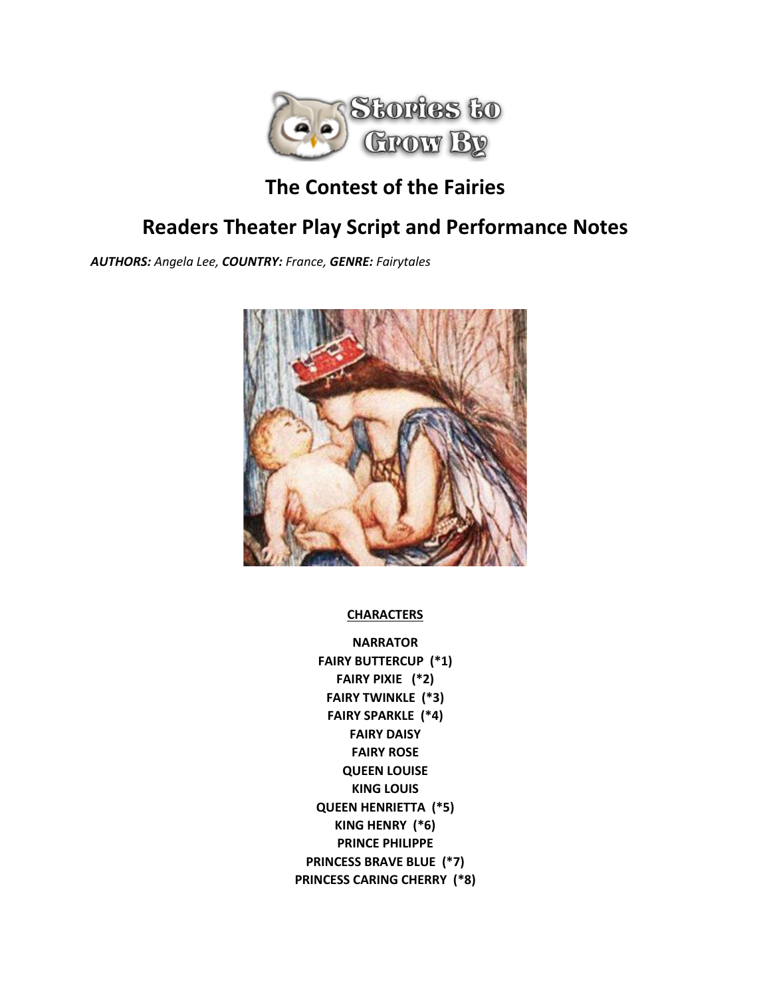

# **The Contest of the Fairies**

# **Readers Theater Play Script and Performance Notes**

*AUTHORS: Angela Lee, COUNTRY: France, GENRE: Fairytales*



**CHARACTERS**

**NARRATOR FAIRY BUTTERCUP (\*1) FAIRY PIXIE (\*2) FAIRY TWINKLE (\*3) FAIRY SPARKLE (\*4) FAIRY DAISY FAIRY ROSE QUEEN LOUISE KING LOUIS QUEEN HENRIETTA (\*5) KING HENRY (\*6) PRINCE PHILIPPE PRINCESS BRAVE BLUE (\*7) PRINCESS CARING CHERRY (\*8)**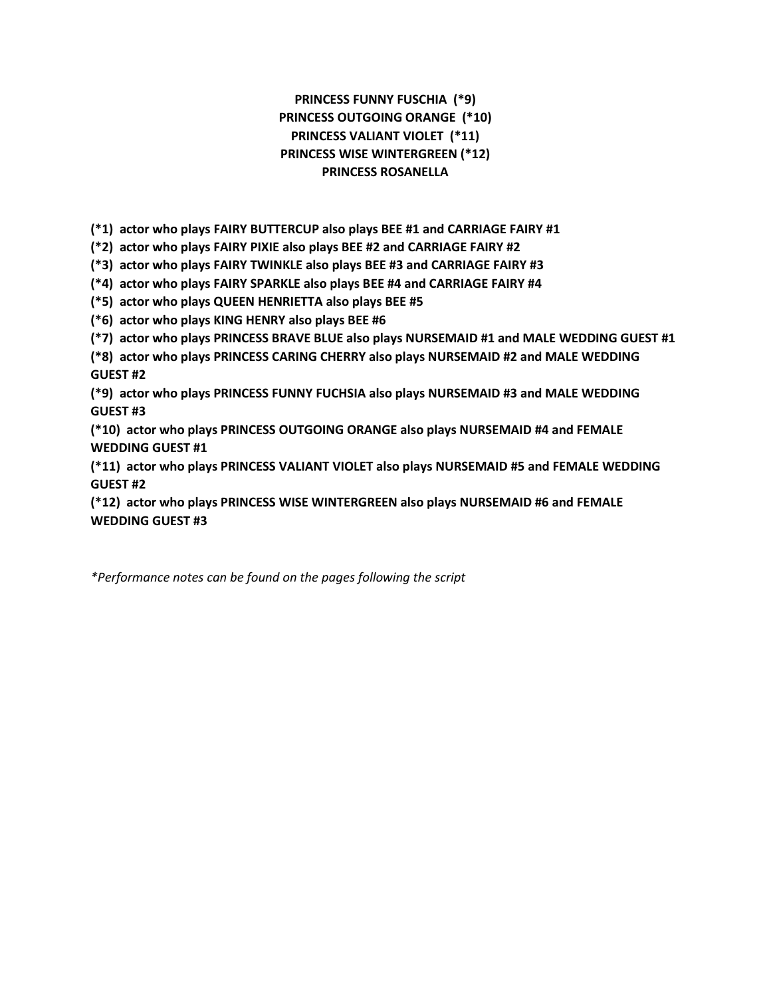## **PRINCESS FUNNY FUSCHIA (\*9) PRINCESS OUTGOING ORANGE (\*10) PRINCESS VALIANT VIOLET (\*11) PRINCESS WISE WINTERGREEN (\*12) PRINCESS ROSANELLA**

**(\*1) actor who plays FAIRY BUTTERCUP also plays BEE #1 and CARRIAGE FAIRY #1**

**(\*2) actor who plays FAIRY PIXIE also plays BEE #2 and CARRIAGE FAIRY #2**

**(\*3) actor who plays FAIRY TWINKLE also plays BEE #3 and CARRIAGE FAIRY #3**

**(\*4) actor who plays FAIRY SPARKLE also plays BEE #4 and CARRIAGE FAIRY #4**

**(\*5) actor who plays QUEEN HENRIETTA also plays BEE #5**

**(\*6) actor who plays KING HENRY also plays BEE #6**

**(\*7) actor who plays PRINCESS BRAVE BLUE also plays NURSEMAID #1 and MALE WEDDING GUEST #1**

**(\*8) actor who plays PRINCESS CARING CHERRY also plays NURSEMAID #2 and MALE WEDDING GUEST #2**

**(\*9) actor who plays PRINCESS FUNNY FUCHSIA also plays NURSEMAID #3 and MALE WEDDING GUEST #3**

**(\*10) actor who plays PRINCESS OUTGOING ORANGE also plays NURSEMAID #4 and FEMALE WEDDING GUEST #1**

**(\*11) actor who plays PRINCESS VALIANT VIOLET also plays NURSEMAID #5 and FEMALE WEDDING GUEST #2**

**(\*12) actor who plays PRINCESS WISE WINTERGREEN also plays NURSEMAID #6 and FEMALE WEDDING GUEST #3**

*\*Performance notes can be found on the pages following the script*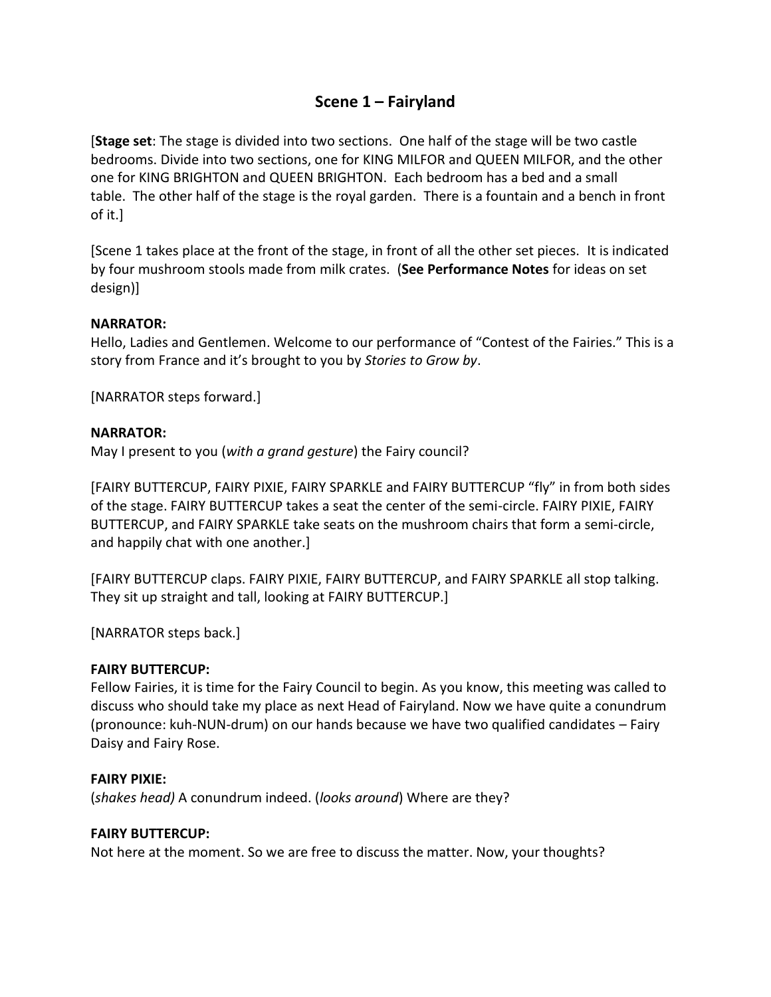## **Scene 1 – Fairyland**

[**Stage set**: The stage is divided into two sections. One half of the stage will be two castle bedrooms. Divide into two sections, one for KING MILFOR and QUEEN MILFOR, and the other one for KING BRIGHTON and QUEEN BRIGHTON. Each bedroom has a bed and a small table. The other half of the stage is the royal garden. There is a fountain and a bench in front of it.]

[Scene 1 takes place at the front of the stage, in front of all the other set pieces. It is indicated by four mushroom stools made from milk crates. (**See Performance Notes** for ideas on set design)]

## **NARRATOR:**

Hello, Ladies and Gentlemen. Welcome to our performance of "Contest of the Fairies." This is a story from France and it's brought to you by *Stories to Grow by*.

[NARRATOR steps forward.]

## **NARRATOR:**

May I present to you (*with a grand gesture*) the Fairy council?

[FAIRY BUTTERCUP, FAIRY PIXIE, FAIRY SPARKLE and FAIRY BUTTERCUP "fly" in from both sides of the stage. FAIRY BUTTERCUP takes a seat the center of the semi-circle. FAIRY PIXIE, FAIRY BUTTERCUP, and FAIRY SPARKLE take seats on the mushroom chairs that form a semi-circle, and happily chat with one another.]

[FAIRY BUTTERCUP claps. FAIRY PIXIE, FAIRY BUTTERCUP, and FAIRY SPARKLE all stop talking. They sit up straight and tall, looking at FAIRY BUTTERCUP.]

[NARRATOR steps back.]

## **FAIRY BUTTERCUP:**

Fellow Fairies, it is time for the Fairy Council to begin. As you know, this meeting was called to discuss who should take my place as next Head of Fairyland. Now we have quite a conundrum (pronounce: kuh-NUN-drum) on our hands because we have two qualified candidates – Fairy Daisy and Fairy Rose.

## **FAIRY PIXIE:**

(*shakes head)* A conundrum indeed. (*looks around*) Where are they?

## **FAIRY BUTTERCUP:**

Not here at the moment. So we are free to discuss the matter. Now, your thoughts?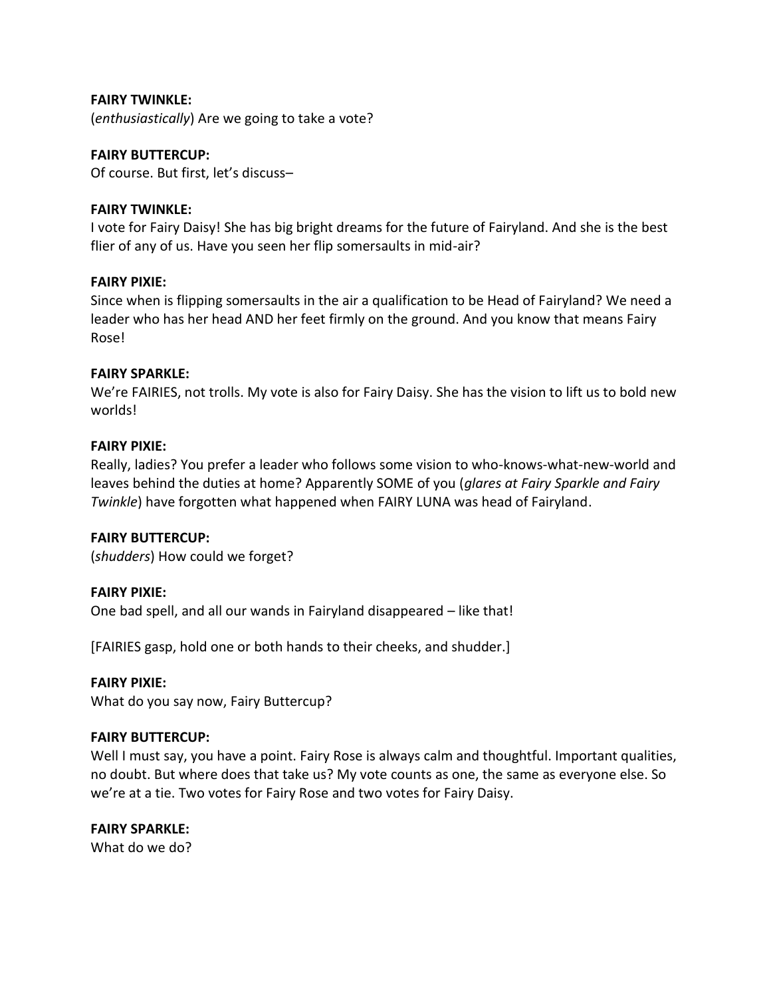## **FAIRY TWINKLE:**

(*enthusiastically*) Are we going to take a vote?

### **FAIRY BUTTERCUP:**

Of course. But first, let's discuss–

### **FAIRY TWINKLE:**

I vote for Fairy Daisy! She has big bright dreams for the future of Fairyland. And she is the best flier of any of us. Have you seen her flip somersaults in mid-air?

### **FAIRY PIXIE:**

Since when is flipping somersaults in the air a qualification to be Head of Fairyland? We need a leader who has her head AND her feet firmly on the ground. And you know that means Fairy Rose!

### **FAIRY SPARKLE:**

We're FAIRIES, not trolls. My vote is also for Fairy Daisy. She has the vision to lift us to bold new worlds!

### **FAIRY PIXIE:**

Really, ladies? You prefer a leader who follows some vision to who-knows-what-new-world and leaves behind the duties at home? Apparently SOME of you (*glares at Fairy Sparkle and Fairy Twinkle*) have forgotten what happened when FAIRY LUNA was head of Fairyland.

#### **FAIRY BUTTERCUP:**

(*shudders*) How could we forget?

#### **FAIRY PIXIE:**

One bad spell, and all our wands in Fairyland disappeared – like that!

[FAIRIES gasp, hold one or both hands to their cheeks, and shudder.]

#### **FAIRY PIXIE:**

What do you say now, Fairy Buttercup?

#### **FAIRY BUTTERCUP:**

Well I must say, you have a point. Fairy Rose is always calm and thoughtful. Important qualities, no doubt. But where does that take us? My vote counts as one, the same as everyone else. So we're at a tie. Two votes for Fairy Rose and two votes for Fairy Daisy.

#### **FAIRY SPARKLE:**

What do we do?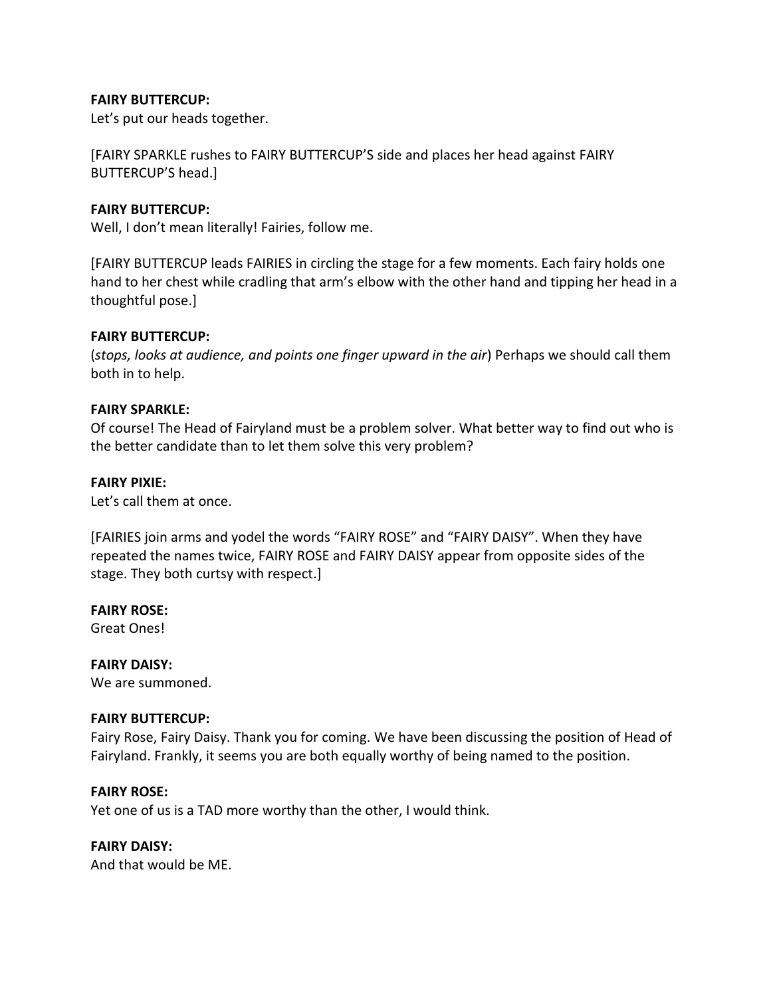## **FAIRY BUTTERCUP:**

Let's put our heads together.

[FAIRY SPARKLE rushes to FAIRY BUTTERCUP'S side and places her head against FAIRY BUTTERCUP'S head.]

## **FAIRY BUTTERCUP:**

Well, I don't mean literally! Fairies, follow me.

[FAIRY BUTTERCUP leads FAIRIES in circling the stage for a few moments. Each fairy holds one hand to her chest while cradling that arm's elbow with the other hand and tipping her head in a thoughtful pose.]

### **FAIRY BUTTERCUP:**

(*stops, looks at audience, and points one finger upward in the air*) Perhaps we should call them both in to help.

### **FAIRY SPARKLE:**

Of course! The Head of Fairyland must be a problem solver. What better way to find out who is the better candidate than to let them solve this very problem?

### **FAIRY PIXIE:**

Let's call them at once.

[FAIRIES join arms and yodel the words "FAIRY ROSE" and "FAIRY DAISY". When they have repeated the names twice, FAIRY ROSE and FAIRY DAISY appear from opposite sides of the stage. They both curtsy with respect.]

## **FAIRY ROSE:**

Great Ones!

## **FAIRY DAISY:**

We are summoned.

#### **FAIRY BUTTERCUP:**

Fairy Rose, Fairy Daisy. Thank you for coming. We have been discussing the position of Head of Fairyland. Frankly, it seems you are both equally worthy of being named to the position.

## **FAIRY ROSE:**

Yet one of us is a TAD more worthy than the other, I would think.

## **FAIRY DAISY:**

And that would be ME.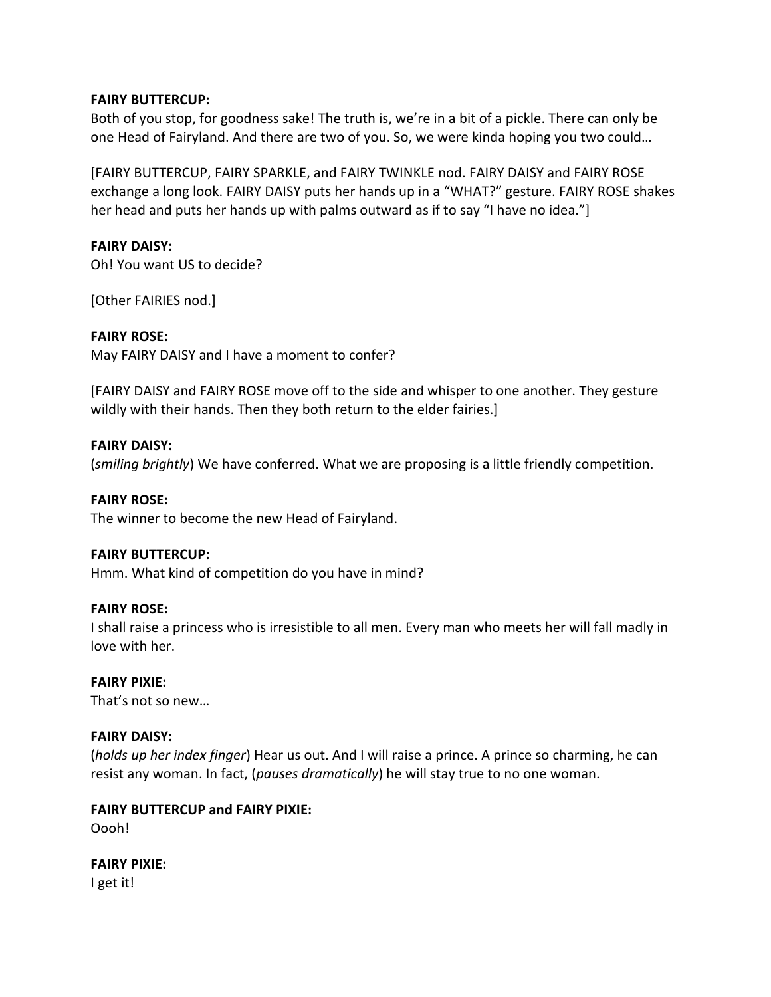### **FAIRY BUTTERCUP:**

Both of you stop, for goodness sake! The truth is, we're in a bit of a pickle. There can only be one Head of Fairyland. And there are two of you. So, we were kinda hoping you two could…

[FAIRY BUTTERCUP, FAIRY SPARKLE, and FAIRY TWINKLE nod. FAIRY DAISY and FAIRY ROSE exchange a long look. FAIRY DAISY puts her hands up in a "WHAT?" gesture. FAIRY ROSE shakes her head and puts her hands up with palms outward as if to say "I have no idea."]

## **FAIRY DAISY:**

Oh! You want US to decide?

[Other FAIRIES nod.]

### **FAIRY ROSE:**

May FAIRY DAISY and I have a moment to confer?

[FAIRY DAISY and FAIRY ROSE move off to the side and whisper to one another. They gesture wildly with their hands. Then they both return to the elder fairies.]

### **FAIRY DAISY:**

(*smiling brightly*) We have conferred. What we are proposing is a little friendly competition.

#### **FAIRY ROSE:**

The winner to become the new Head of Fairyland.

#### **FAIRY BUTTERCUP:**

Hmm. What kind of competition do you have in mind?

#### **FAIRY ROSE:**

I shall raise a princess who is irresistible to all men. Every man who meets her will fall madly in love with her.

#### **FAIRY PIXIE:**

That's not so new…

#### **FAIRY DAISY:**

(*holds up her index finger*) Hear us out. And I will raise a prince. A prince so charming, he can resist any woman. In fact, (*pauses dramatically*) he will stay true to no one woman.

## **FAIRY BUTTERCUP and FAIRY PIXIE:**

Oooh!

#### **FAIRY PIXIE:**

I get it!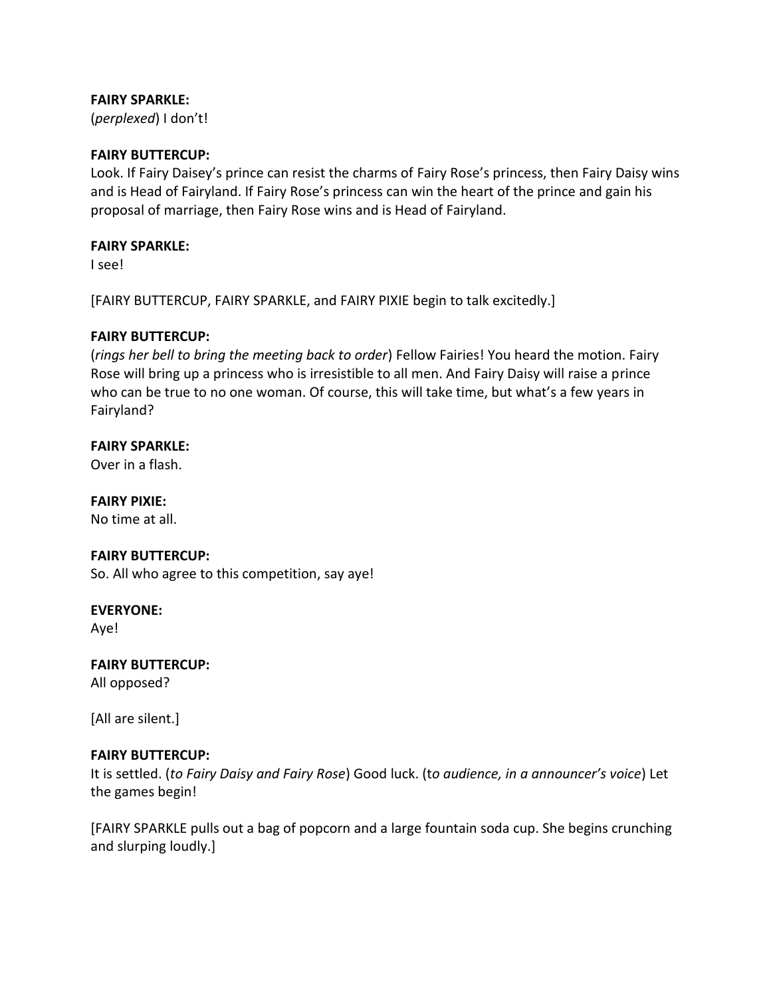## **FAIRY SPARKLE:**

(*perplexed*) I don't!

## **FAIRY BUTTERCUP:**

Look. If Fairy Daisey's prince can resist the charms of Fairy Rose's princess, then Fairy Daisy wins and is Head of Fairyland. If Fairy Rose's princess can win the heart of the prince and gain his proposal of marriage, then Fairy Rose wins and is Head of Fairyland.

## **FAIRY SPARKLE:**

I see!

[FAIRY BUTTERCUP, FAIRY SPARKLE, and FAIRY PIXIE begin to talk excitedly.]

## **FAIRY BUTTERCUP:**

(*rings her bell to bring the meeting back to order*) Fellow Fairies! You heard the motion. Fairy Rose will bring up a princess who is irresistible to all men. And Fairy Daisy will raise a prince who can be true to no one woman. Of course, this will take time, but what's a few years in Fairyland?

## **FAIRY SPARKLE:**

Over in a flash.

**FAIRY PIXIE:** No time at all.

# **FAIRY BUTTERCUP:**

So. All who agree to this competition, say aye!

## **EVERYONE:**

Aye!

**FAIRY BUTTERCUP:** All opposed?

[All are silent.]

## **FAIRY BUTTERCUP:**

It is settled. (*to Fairy Daisy and Fairy Rose*) Good luck. (t*o audience, in a announcer's voice*) Let the games begin!

[FAIRY SPARKLE pulls out a bag of popcorn and a large fountain soda cup. She begins crunching and slurping loudly.]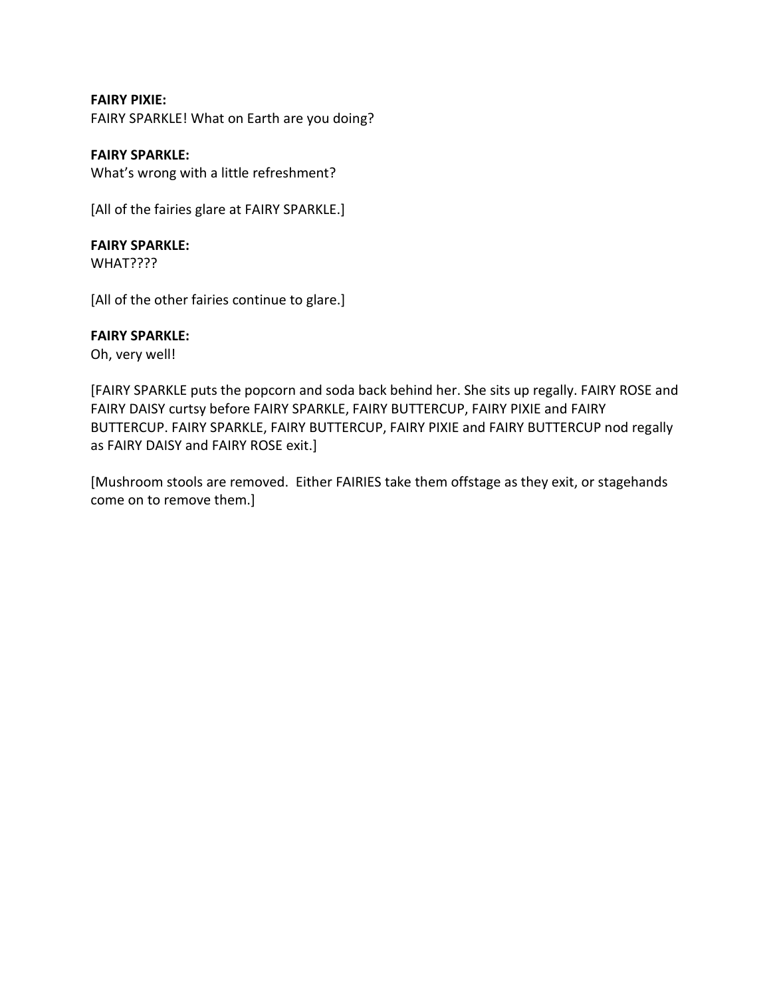**FAIRY PIXIE:** FAIRY SPARKLE! What on Earth are you doing?

**FAIRY SPARKLE:** What's wrong with a little refreshment?

[All of the fairies glare at FAIRY SPARKLE.]

## **FAIRY SPARKLE:**

WHAT????

[All of the other fairies continue to glare.]

## **FAIRY SPARKLE:**

Oh, very well!

[FAIRY SPARKLE puts the popcorn and soda back behind her. She sits up regally. FAIRY ROSE and FAIRY DAISY curtsy before FAIRY SPARKLE, FAIRY BUTTERCUP, FAIRY PIXIE and FAIRY BUTTERCUP. FAIRY SPARKLE, FAIRY BUTTERCUP, FAIRY PIXIE and FAIRY BUTTERCUP nod regally as FAIRY DAISY and FAIRY ROSE exit.]

[Mushroom stools are removed. Either FAIRIES take them offstage as they exit, or stagehands come on to remove them.]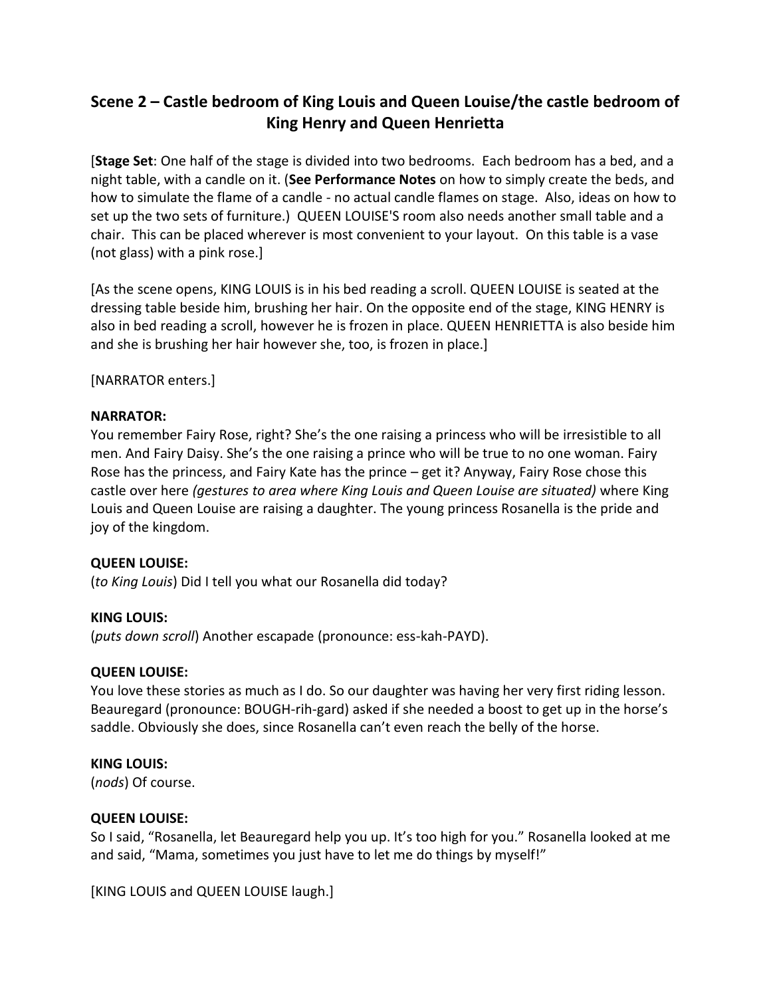## **Scene 2 – Castle bedroom of King Louis and Queen Louise/the castle bedroom of King Henry and Queen Henrietta**

[**Stage Set**: One half of the stage is divided into two bedrooms. Each bedroom has a bed, and a night table, with a candle on it. (**See Performance Notes** on how to simply create the beds, and how to simulate the flame of a candle - no actual candle flames on stage. Also, ideas on how to set up the two sets of furniture.) QUEEN LOUISE'S room also needs another small table and a chair. This can be placed wherever is most convenient to your layout. On this table is a vase (not glass) with a pink rose.]

[As the scene opens, KING LOUIS is in his bed reading a scroll. QUEEN LOUISE is seated at the dressing table beside him, brushing her hair. On the opposite end of the stage, KING HENRY is also in bed reading a scroll, however he is frozen in place. QUEEN HENRIETTA is also beside him and she is brushing her hair however she, too, is frozen in place.]

[NARRATOR enters.]

## **NARRATOR:**

You remember Fairy Rose, right? She's the one raising a princess who will be irresistible to all men. And Fairy Daisy. She's the one raising a prince who will be true to no one woman. Fairy Rose has the princess, and Fairy Kate has the prince – get it? Anyway, Fairy Rose chose this castle over here *(gestures to area where King Louis and Queen Louise are situated)* where King Louis and Queen Louise are raising a daughter. The young princess Rosanella is the pride and joy of the kingdom.

## **QUEEN LOUISE:**

(*to King Louis*) Did I tell you what our Rosanella did today?

## **KING LOUIS:**

(*puts down scroll*) Another escapade (pronounce: ess-kah-PAYD).

## **QUEEN LOUISE:**

You love these stories as much as I do. So our daughter was having her very first riding lesson. Beauregard (pronounce: BOUGH-rih-gard) asked if she needed a boost to get up in the horse's saddle. Obviously she does, since Rosanella can't even reach the belly of the horse.

## **KING LOUIS:**

(*nods*) Of course.

## **QUEEN LOUISE:**

So I said, "Rosanella, let Beauregard help you up. It's too high for you." Rosanella looked at me and said, "Mama, sometimes you just have to let me do things by myself!"

[KING LOUIS and QUEEN LOUISE laugh.]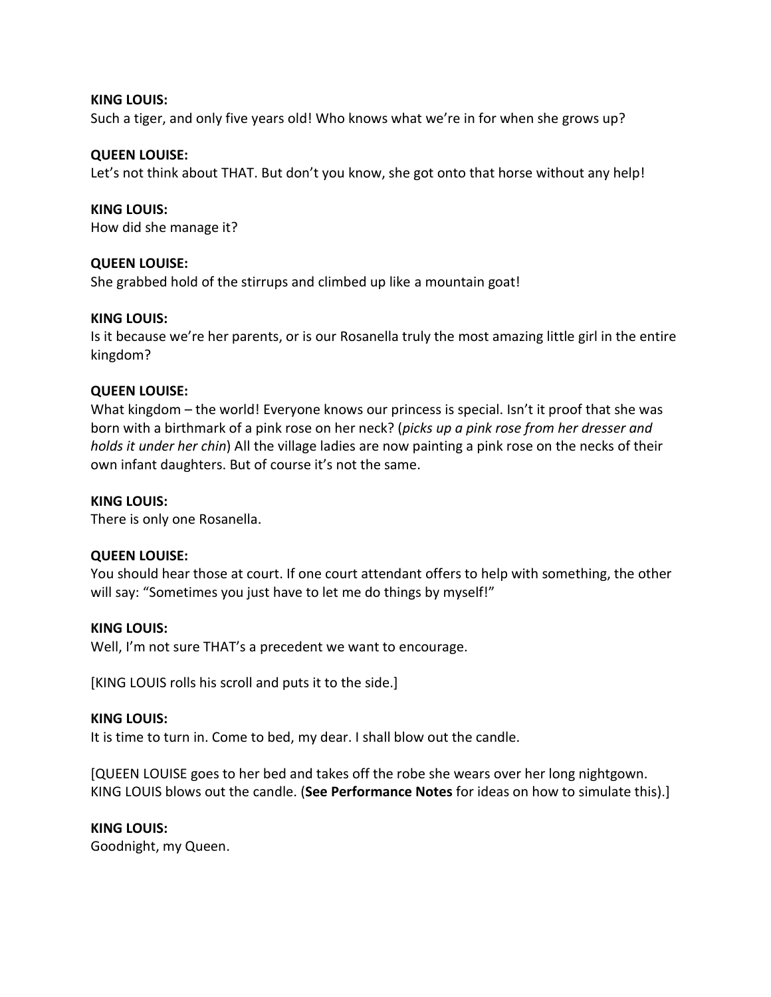### **KING LOUIS:**

Such a tiger, and only five years old! Who knows what we're in for when she grows up?

## **QUEEN LOUISE:**

Let's not think about THAT. But don't you know, she got onto that horse without any help!

**KING LOUIS:**

How did she manage it?

## **QUEEN LOUISE:**

She grabbed hold of the stirrups and climbed up like a mountain goat!

### **KING LOUIS:**

Is it because we're her parents, or is our Rosanella truly the most amazing little girl in the entire kingdom?

## **QUEEN LOUISE:**

What kingdom – the world! Everyone knows our princess is special. Isn't it proof that she was born with a birthmark of a pink rose on her neck? (*picks up a pink rose from her dresser and holds it under her chin*) All the village ladies are now painting a pink rose on the necks of their own infant daughters. But of course it's not the same.

#### **KING LOUIS:**

There is only one Rosanella.

## **QUEEN LOUISE:**

You should hear those at court. If one court attendant offers to help with something, the other will say: "Sometimes you just have to let me do things by myself!"

#### **KING LOUIS:**

Well, I'm not sure THAT's a precedent we want to encourage.

[KING LOUIS rolls his scroll and puts it to the side.]

#### **KING LOUIS:**

It is time to turn in. Come to bed, my dear. I shall blow out the candle.

[QUEEN LOUISE goes to her bed and takes off the robe she wears over her long nightgown. KING LOUIS blows out the candle. (**See Performance Notes** for ideas on how to simulate this).]

#### **KING LOUIS:**

Goodnight, my Queen.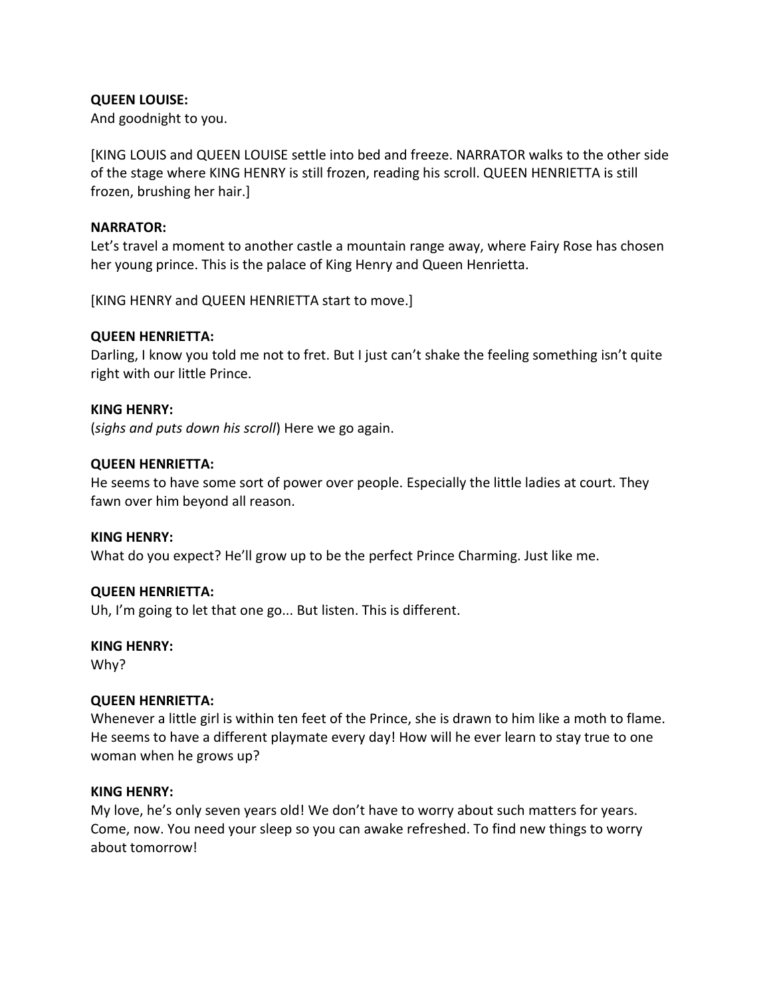## **QUEEN LOUISE:**

And goodnight to you.

[KING LOUIS and QUEEN LOUISE settle into bed and freeze. NARRATOR walks to the other side of the stage where KING HENRY is still frozen, reading his scroll. QUEEN HENRIETTA is still frozen, brushing her hair.]

### **NARRATOR:**

Let's travel a moment to another castle a mountain range away, where Fairy Rose has chosen her young prince. This is the palace of King Henry and Queen Henrietta.

[KING HENRY and QUEEN HENRIETTA start to move.]

### **QUEEN HENRIETTA:**

Darling, I know you told me not to fret. But I just can't shake the feeling something isn't quite right with our little Prince.

#### **KING HENRY:**

(*sighs and puts down his scroll*) Here we go again.

### **QUEEN HENRIETTA:**

He seems to have some sort of power over people. Especially the little ladies at court. They fawn over him beyond all reason.

#### **KING HENRY:**

What do you expect? He'll grow up to be the perfect Prince Charming. Just like me.

#### **QUEEN HENRIETTA:**

Uh, I'm going to let that one go... But listen. This is different.

#### **KING HENRY:**

Why?

#### **QUEEN HENRIETTA:**

Whenever a little girl is within ten feet of the Prince, she is drawn to him like a moth to flame. He seems to have a different playmate every day! How will he ever learn to stay true to one woman when he grows up?

#### **KING HENRY:**

My love, he's only seven years old! We don't have to worry about such matters for years. Come, now. You need your sleep so you can awake refreshed. To find new things to worry about tomorrow!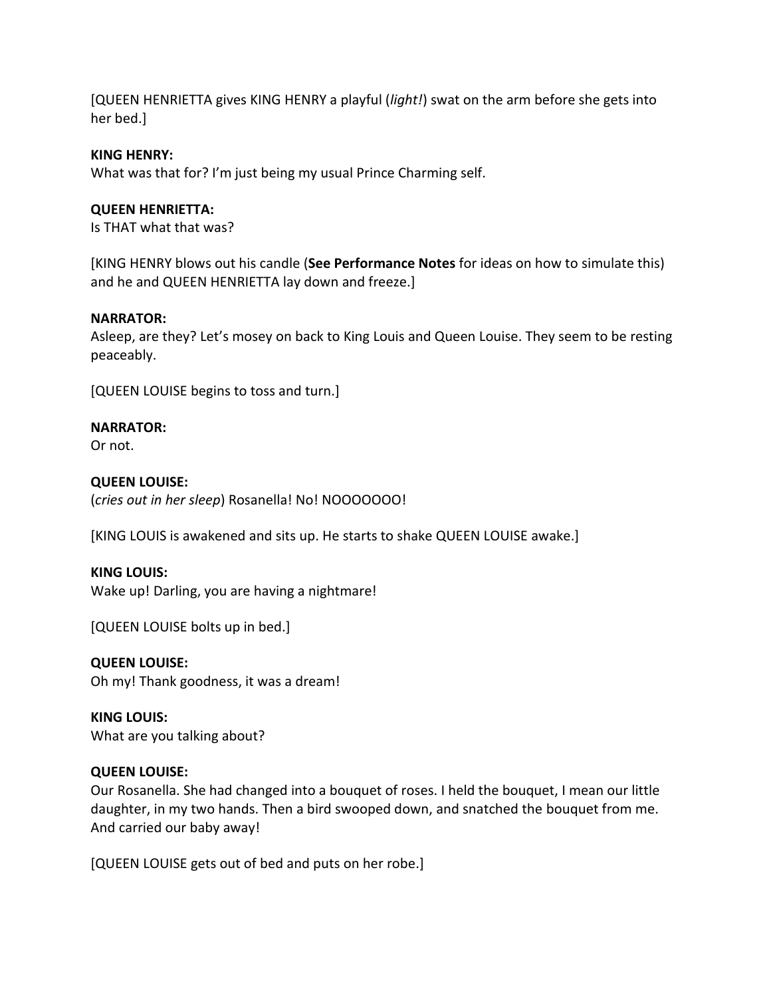[QUEEN HENRIETTA gives KING HENRY a playful (*light!*) swat on the arm before she gets into her bed.]

## **KING HENRY:**

What was that for? I'm just being my usual Prince Charming self.

## **QUEEN HENRIETTA:**

Is THAT what that was?

[KING HENRY blows out his candle (**See Performance Notes** for ideas on how to simulate this) and he and QUEEN HENRIETTA lay down and freeze.]

### **NARRATOR:**

Asleep, are they? Let's mosey on back to King Louis and Queen Louise. They seem to be resting peaceably.

[QUEEN LOUISE begins to toss and turn.]

## **NARRATOR:**

Or not.

## **QUEEN LOUISE:**

(*cries out in her sleep*) Rosanella! No! NOOOOOOO!

[KING LOUIS is awakened and sits up. He starts to shake QUEEN LOUISE awake.]

## **KING LOUIS:**

Wake up! Darling, you are having a nightmare!

[QUEEN LOUISE bolts up in bed.]

**QUEEN LOUISE:** Oh my! Thank goodness, it was a dream!

**KING LOUIS:** What are you talking about?

## **QUEEN LOUISE:**

Our Rosanella. She had changed into a bouquet of roses. I held the bouquet, I mean our little daughter, in my two hands. Then a bird swooped down, and snatched the bouquet from me. And carried our baby away!

[QUEEN LOUISE gets out of bed and puts on her robe.]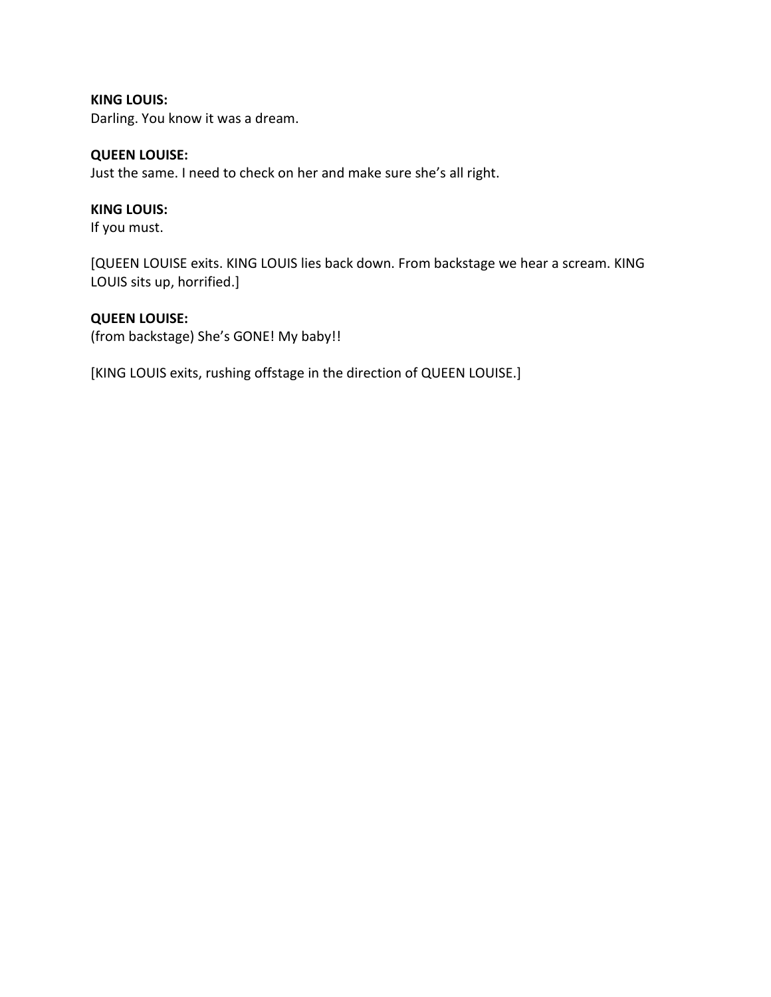**KING LOUIS:** Darling. You know it was a dream.

## **QUEEN LOUISE:**

Just the same. I need to check on her and make sure she's all right.

## **KING LOUIS:**

If you must.

[QUEEN LOUISE exits. KING LOUIS lies back down. From backstage we hear a scream. KING LOUIS sits up, horrified.]

## **QUEEN LOUISE:**

(from backstage) She's GONE! My baby!!

[KING LOUIS exits, rushing offstage in the direction of QUEEN LOUISE.]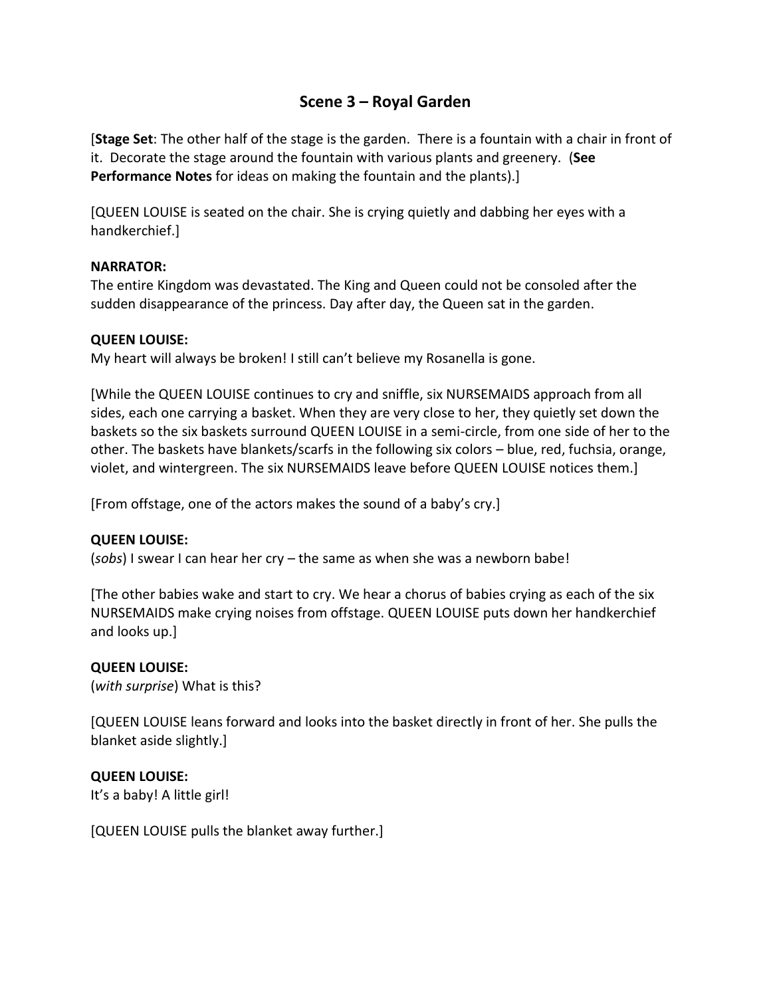## **Scene 3 – Royal Garden**

[**Stage Set**: The other half of the stage is the garden. There is a fountain with a chair in front of it. Decorate the stage around the fountain with various plants and greenery. (**See Performance Notes** for ideas on making the fountain and the plants).]

[QUEEN LOUISE is seated on the chair. She is crying quietly and dabbing her eyes with a handkerchief.]

## **NARRATOR:**

The entire Kingdom was devastated. The King and Queen could not be consoled after the sudden disappearance of the princess. Day after day, the Queen sat in the garden.

## **QUEEN LOUISE:**

My heart will always be broken! I still can't believe my Rosanella is gone.

[While the QUEEN LOUISE continues to cry and sniffle, six NURSEMAIDS approach from all sides, each one carrying a basket. When they are very close to her, they quietly set down the baskets so the six baskets surround QUEEN LOUISE in a semi-circle, from one side of her to the other. The baskets have blankets/scarfs in the following six colors – blue, red, fuchsia, orange, violet, and wintergreen. The six NURSEMAIDS leave before QUEEN LOUISE notices them.]

[From offstage, one of the actors makes the sound of a baby's cry.]

## **QUEEN LOUISE:**

(*sobs*) I swear I can hear her cry – the same as when she was a newborn babe!

[The other babies wake and start to cry. We hear a chorus of babies crying as each of the six NURSEMAIDS make crying noises from offstage. QUEEN LOUISE puts down her handkerchief and looks up.]

## **QUEEN LOUISE:**

(*with surprise*) What is this?

[QUEEN LOUISE leans forward and looks into the basket directly in front of her. She pulls the blanket aside slightly.]

## **QUEEN LOUISE:**

It's a baby! A little girl!

[QUEEN LOUISE pulls the blanket away further.]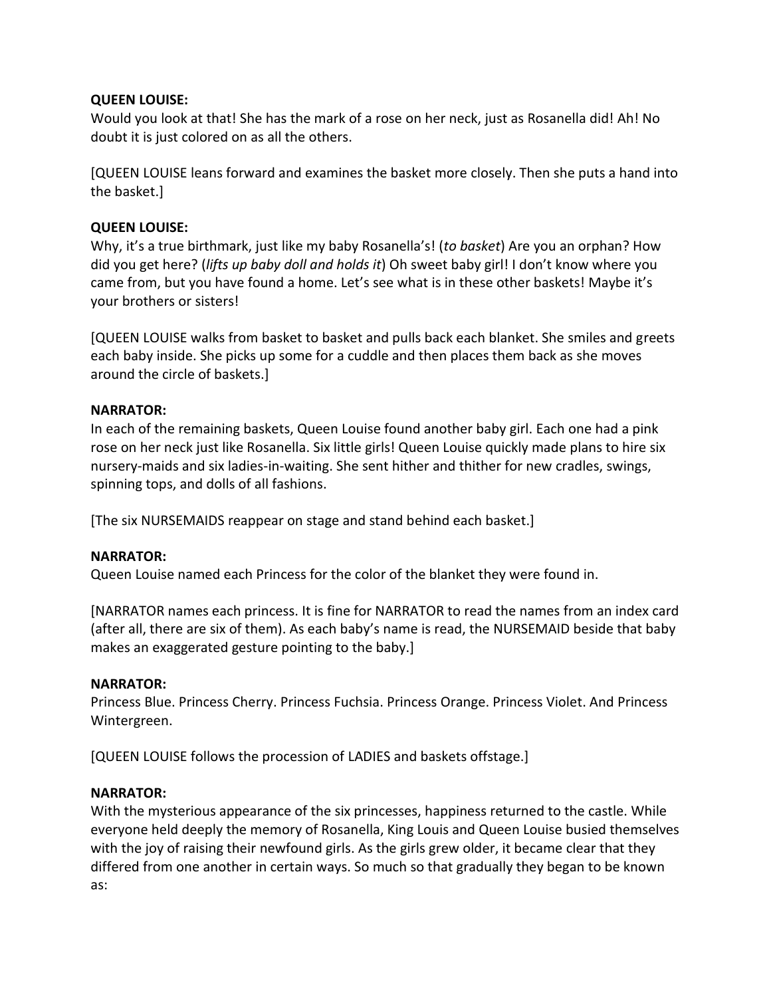## **QUEEN LOUISE:**

Would you look at that! She has the mark of a rose on her neck, just as Rosanella did! Ah! No doubt it is just colored on as all the others.

[QUEEN LOUISE leans forward and examines the basket more closely. Then she puts a hand into the basket.]

## **QUEEN LOUISE:**

Why, it's a true birthmark, just like my baby Rosanella's! (*to basket*) Are you an orphan? How did you get here? (*lifts up baby doll and holds it*) Oh sweet baby girl! I don't know where you came from, but you have found a home. Let's see what is in these other baskets! Maybe it's your brothers or sisters!

[QUEEN LOUISE walks from basket to basket and pulls back each blanket. She smiles and greets each baby inside. She picks up some for a cuddle and then places them back as she moves around the circle of baskets.]

## **NARRATOR:**

In each of the remaining baskets, Queen Louise found another baby girl. Each one had a pink rose on her neck just like Rosanella. Six little girls! Queen Louise quickly made plans to hire six nursery-maids and six ladies-in-waiting. She sent hither and thither for new cradles, swings, spinning tops, and dolls of all fashions.

[The six NURSEMAIDS reappear on stage and stand behind each basket.]

## **NARRATOR:**

Queen Louise named each Princess for the color of the blanket they were found in.

[NARRATOR names each princess. It is fine for NARRATOR to read the names from an index card (after all, there are six of them). As each baby's name is read, the NURSEMAID beside that baby makes an exaggerated gesture pointing to the baby.]

## **NARRATOR:**

Princess Blue. Princess Cherry. Princess Fuchsia. Princess Orange. Princess Violet. And Princess Wintergreen.

[QUEEN LOUISE follows the procession of LADIES and baskets offstage.]

## **NARRATOR:**

With the mysterious appearance of the six princesses, happiness returned to the castle. While everyone held deeply the memory of Rosanella, King Louis and Queen Louise busied themselves with the joy of raising their newfound girls. As the girls grew older, it became clear that they differed from one another in certain ways. So much so that gradually they began to be known as: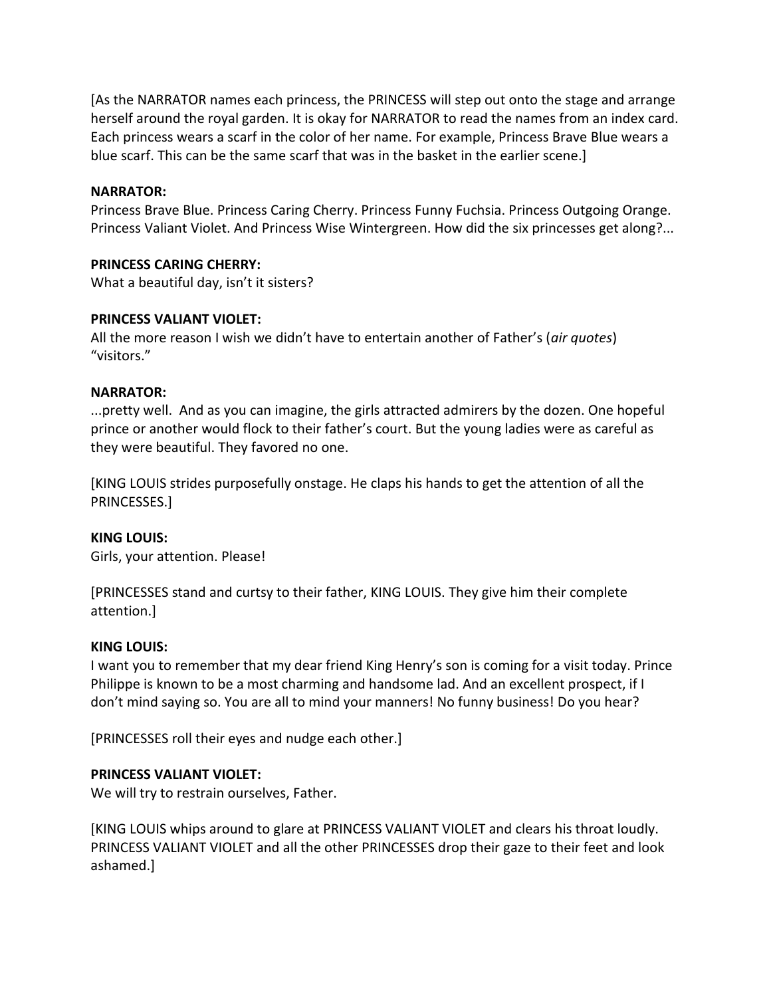[As the NARRATOR names each princess, the PRINCESS will step out onto the stage and arrange herself around the royal garden. It is okay for NARRATOR to read the names from an index card. Each princess wears a scarf in the color of her name. For example, Princess Brave Blue wears a blue scarf. This can be the same scarf that was in the basket in the earlier scene.]

### **NARRATOR:**

Princess Brave Blue. Princess Caring Cherry. Princess Funny Fuchsia. Princess Outgoing Orange. Princess Valiant Violet. And Princess Wise Wintergreen. How did the six princesses get along?...

### **PRINCESS CARING CHERRY:**

What a beautiful day, isn't it sisters?

### **PRINCESS VALIANT VIOLET:**

All the more reason I wish we didn't have to entertain another of Father's (*air quotes*) "visitors."

### **NARRATOR:**

...pretty well. And as you can imagine, the girls attracted admirers by the dozen. One hopeful prince or another would flock to their father's court. But the young ladies were as careful as they were beautiful. They favored no one.

[KING LOUIS strides purposefully onstage. He claps his hands to get the attention of all the PRINCESSES.]

#### **KING LOUIS:**

Girls, your attention. Please!

[PRINCESSES stand and curtsy to their father, KING LOUIS. They give him their complete attention.]

#### **KING LOUIS:**

I want you to remember that my dear friend King Henry's son is coming for a visit today. Prince Philippe is known to be a most charming and handsome lad. And an excellent prospect, if I don't mind saying so. You are all to mind your manners! No funny business! Do you hear?

[PRINCESSES roll their eyes and nudge each other.]

#### **PRINCESS VALIANT VIOLET:**

We will try to restrain ourselves, Father.

[KING LOUIS whips around to glare at PRINCESS VALIANT VIOLET and clears his throat loudly. PRINCESS VALIANT VIOLET and all the other PRINCESSES drop their gaze to their feet and look ashamed.]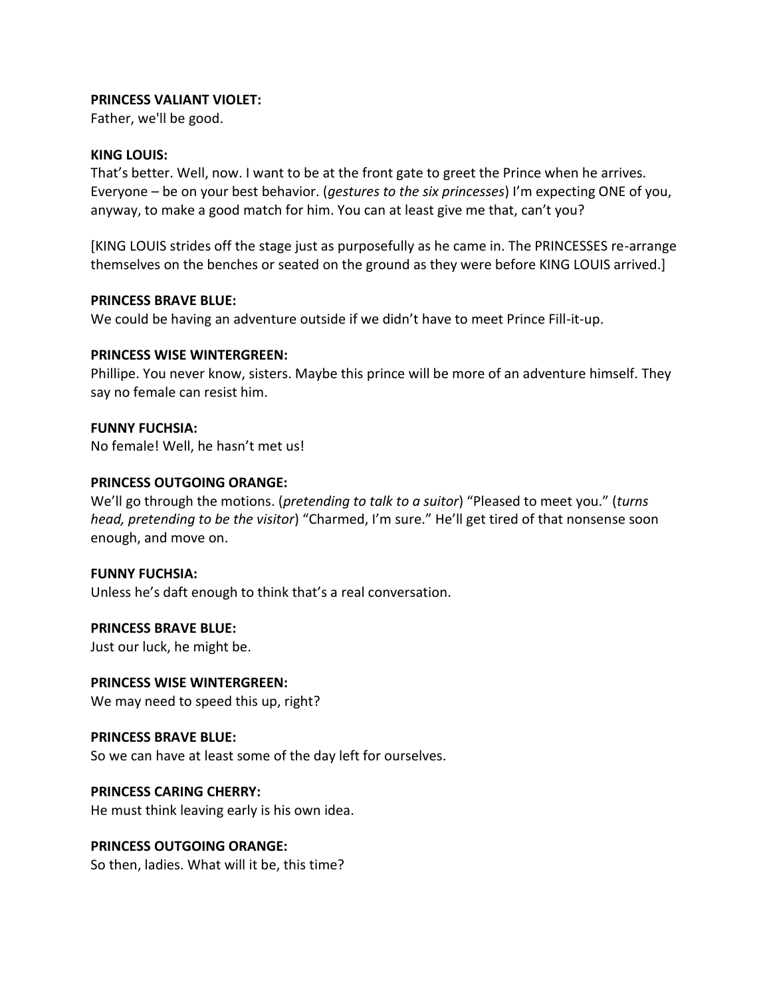## **PRINCESS VALIANT VIOLET:**

Father, we'll be good.

#### **KING LOUIS:**

That's better. Well, now. I want to be at the front gate to greet the Prince when he arrives. Everyone – be on your best behavior. (*gestures to the six princesses*) I'm expecting ONE of you, anyway, to make a good match for him. You can at least give me that, can't you?

[KING LOUIS strides off the stage just as purposefully as he came in. The PRINCESSES re-arrange themselves on the benches or seated on the ground as they were before KING LOUIS arrived.]

#### **PRINCESS BRAVE BLUE:**

We could be having an adventure outside if we didn't have to meet Prince Fill-it-up.

## **PRINCESS WISE WINTERGREEN:**

Phillipe. You never know, sisters. Maybe this prince will be more of an adventure himself. They say no female can resist him.

### **FUNNY FUCHSIA:**

No female! Well, he hasn't met us!

### **PRINCESS OUTGOING ORANGE:**

We'll go through the motions. (*pretending to talk to a suitor*) "Pleased to meet you." (*turns head, pretending to be the visitor*) "Charmed, I'm sure." He'll get tired of that nonsense soon enough, and move on.

#### **FUNNY FUCHSIA:**

Unless he's daft enough to think that's a real conversation.

#### **PRINCESS BRAVE BLUE:**

Just our luck, he might be.

## **PRINCESS WISE WINTERGREEN:**

We may need to speed this up, right?

#### **PRINCESS BRAVE BLUE:**

So we can have at least some of the day left for ourselves.

## **PRINCESS CARING CHERRY:**

He must think leaving early is his own idea.

## **PRINCESS OUTGOING ORANGE:**

So then, ladies. What will it be, this time?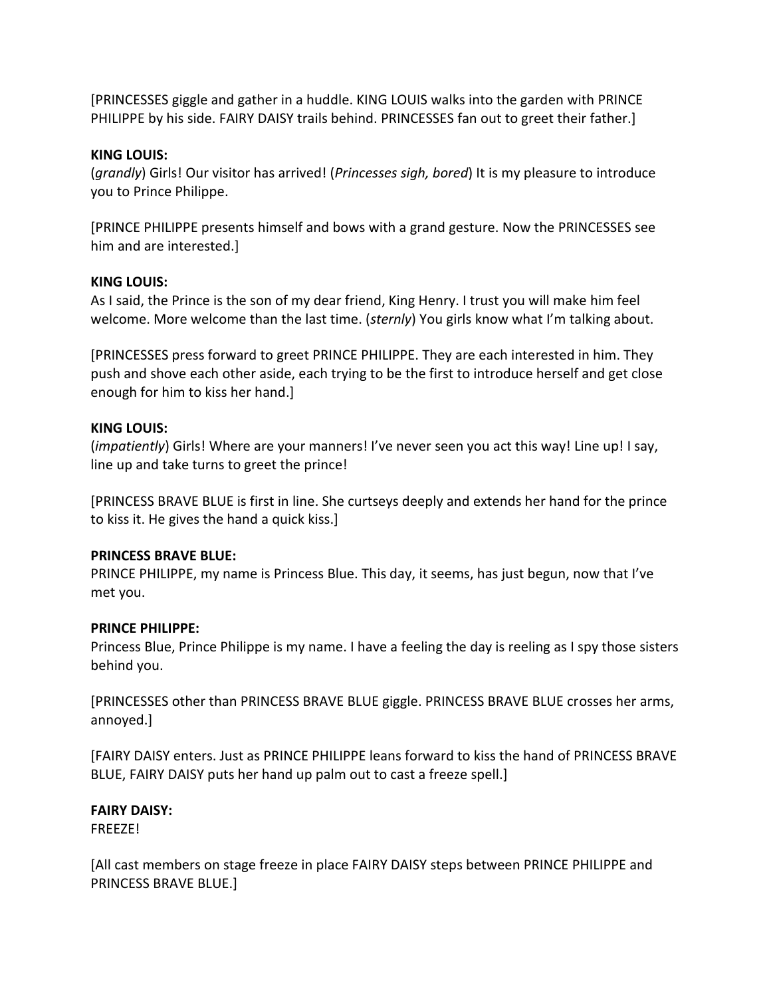[PRINCESSES giggle and gather in a huddle. KING LOUIS walks into the garden with PRINCE PHILIPPE by his side. FAIRY DAISY trails behind. PRINCESSES fan out to greet their father.]

## **KING LOUIS:**

(*grandly*) Girls! Our visitor has arrived! (*Princesses sigh, bored*) It is my pleasure to introduce you to Prince Philippe.

[PRINCE PHILIPPE presents himself and bows with a grand gesture. Now the PRINCESSES see him and are interested.]

### **KING LOUIS:**

As I said, the Prince is the son of my dear friend, King Henry. I trust you will make him feel welcome. More welcome than the last time. (*sternly*) You girls know what I'm talking about.

[PRINCESSES press forward to greet PRINCE PHILIPPE. They are each interested in him. They push and shove each other aside, each trying to be the first to introduce herself and get close enough for him to kiss her hand.]

### **KING LOUIS:**

(*impatiently*) Girls! Where are your manners! I've never seen you act this way! Line up! I say, line up and take turns to greet the prince!

[PRINCESS BRAVE BLUE is first in line. She curtseys deeply and extends her hand for the prince to kiss it. He gives the hand a quick kiss.]

## **PRINCESS BRAVE BLUE:**

PRINCE PHILIPPE, my name is Princess Blue. This day, it seems, has just begun, now that I've met you.

#### **PRINCE PHILIPPE:**

Princess Blue, Prince Philippe is my name. I have a feeling the day is reeling as I spy those sisters behind you.

[PRINCESSES other than PRINCESS BRAVE BLUE giggle. PRINCESS BRAVE BLUE crosses her arms, annoyed.]

[FAIRY DAISY enters. Just as PRINCE PHILIPPE leans forward to kiss the hand of PRINCESS BRAVE BLUE, FAIRY DAISY puts her hand up palm out to cast a freeze spell.]

## **FAIRY DAISY:**

FREEZE!

[All cast members on stage freeze in place FAIRY DAISY steps between PRINCE PHILIPPE and PRINCESS BRAVE BLUE.]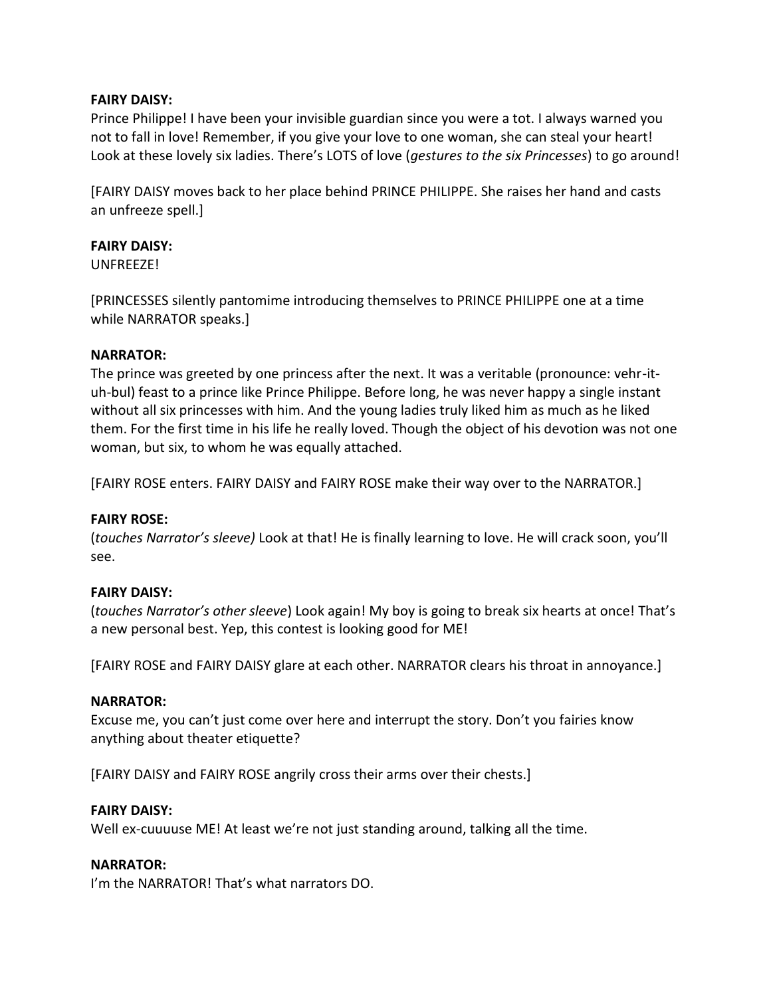## **FAIRY DAISY:**

Prince Philippe! I have been your invisible guardian since you were a tot. I always warned you not to fall in love! Remember, if you give your love to one woman, she can steal your heart! Look at these lovely six ladies. There's LOTS of love (*gestures to the six Princesses*) to go around!

[FAIRY DAISY moves back to her place behind PRINCE PHILIPPE. She raises her hand and casts an unfreeze spell.]

### **FAIRY DAISY:**

UNFREEZE!

[PRINCESSES silently pantomime introducing themselves to PRINCE PHILIPPE one at a time while NARRATOR speaks.]

#### **NARRATOR:**

The prince was greeted by one princess after the next. It was a veritable (pronounce: vehr-ituh-bul) feast to a prince like Prince Philippe. Before long, he was never happy a single instant without all six princesses with him. And the young ladies truly liked him as much as he liked them. For the first time in his life he really loved. Though the object of his devotion was not one woman, but six, to whom he was equally attached.

[FAIRY ROSE enters. FAIRY DAISY and FAIRY ROSE make their way over to the NARRATOR.]

#### **FAIRY ROSE:**

(*touches Narrator's sleeve)* Look at that! He is finally learning to love. He will crack soon, you'll see.

#### **FAIRY DAISY:**

(*touches Narrator's other sleeve*) Look again! My boy is going to break six hearts at once! That's a new personal best. Yep, this contest is looking good for ME!

[FAIRY ROSE and FAIRY DAISY glare at each other. NARRATOR clears his throat in annoyance.]

#### **NARRATOR:**

Excuse me, you can't just come over here and interrupt the story. Don't you fairies know anything about theater etiquette?

[FAIRY DAISY and FAIRY ROSE angrily cross their arms over their chests.]

#### **FAIRY DAISY:**

Well ex-cuuuuse ME! At least we're not just standing around, talking all the time.

#### **NARRATOR:**

I'm the NARRATOR! That's what narrators DO.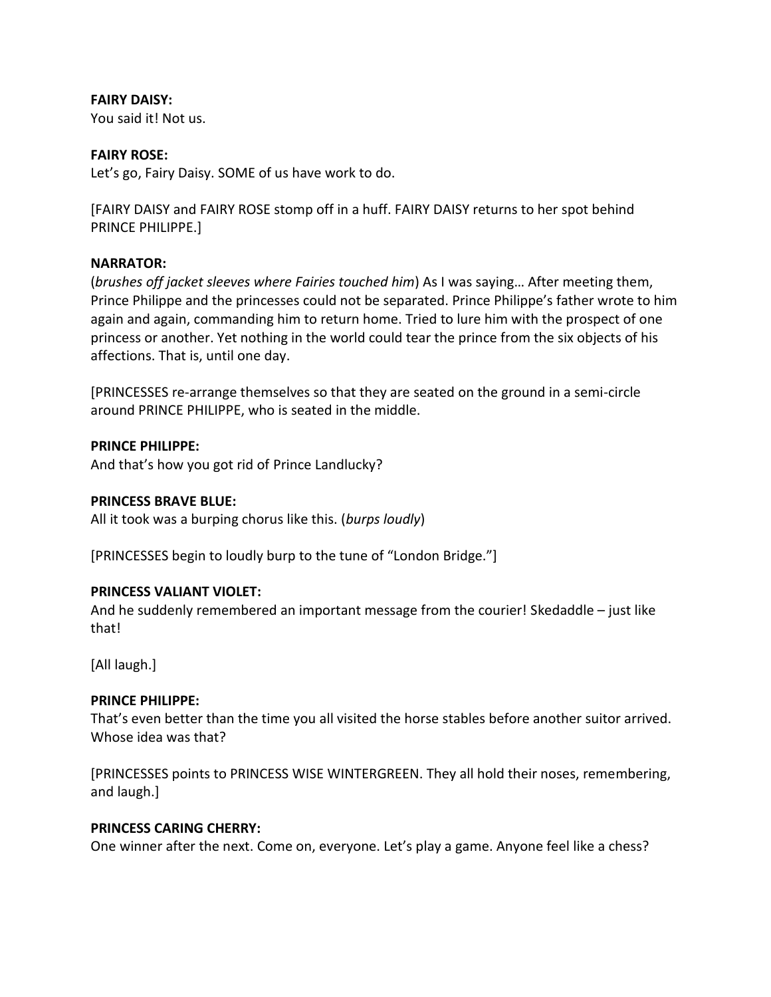## **FAIRY DAISY:**

You said it! Not us.

## **FAIRY ROSE:**

Let's go, Fairy Daisy. SOME of us have work to do.

[FAIRY DAISY and FAIRY ROSE stomp off in a huff. FAIRY DAISY returns to her spot behind PRINCE PHILIPPE.]

## **NARRATOR:**

(*brushes off jacket sleeves where Fairies touched him*) As I was saying… After meeting them, Prince Philippe and the princesses could not be separated. Prince Philippe's father wrote to him again and again, commanding him to return home. Tried to lure him with the prospect of one princess or another. Yet nothing in the world could tear the prince from the six objects of his affections. That is, until one day.

[PRINCESSES re-arrange themselves so that they are seated on the ground in a semi-circle around PRINCE PHILIPPE, who is seated in the middle.

## **PRINCE PHILIPPE:**

And that's how you got rid of Prince Landlucky?

## **PRINCESS BRAVE BLUE:**

All it took was a burping chorus like this. (*burps loudly*)

[PRINCESSES begin to loudly burp to the tune of "London Bridge."]

## **PRINCESS VALIANT VIOLET:**

And he suddenly remembered an important message from the courier! Skedaddle – just like that!

[All laugh.]

## **PRINCE PHILIPPE:**

That's even better than the time you all visited the horse stables before another suitor arrived. Whose idea was that?

[PRINCESSES points to PRINCESS WISE WINTERGREEN. They all hold their noses, remembering, and laugh.]

## **PRINCESS CARING CHERRY:**

One winner after the next. Come on, everyone. Let's play a game. Anyone feel like a chess?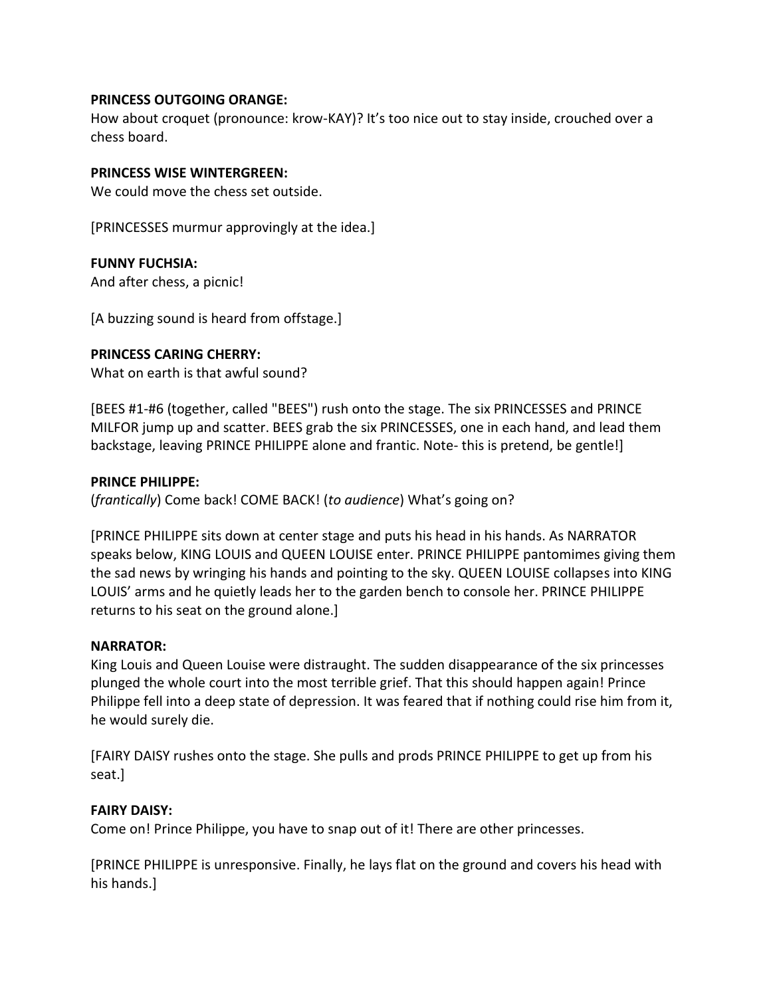## **PRINCESS OUTGOING ORANGE:**

How about croquet (pronounce: krow-KAY)? It's too nice out to stay inside, crouched over a chess board.

### **PRINCESS WISE WINTERGREEN:**

We could move the chess set outside.

[PRINCESSES murmur approvingly at the idea.]

### **FUNNY FUCHSIA:**

And after chess, a picnic!

[A buzzing sound is heard from offstage.]

### **PRINCESS CARING CHERRY:**

What on earth is that awful sound?

[BEES #1-#6 (together, called "BEES") rush onto the stage. The six PRINCESSES and PRINCE MILFOR jump up and scatter. BEES grab the six PRINCESSES, one in each hand, and lead them backstage, leaving PRINCE PHILIPPE alone and frantic. Note- this is pretend, be gentle!]

### **PRINCE PHILIPPE:**

(*frantically*) Come back! COME BACK! (*to audience*) What's going on?

[PRINCE PHILIPPE sits down at center stage and puts his head in his hands. As NARRATOR speaks below, KING LOUIS and QUEEN LOUISE enter. PRINCE PHILIPPE pantomimes giving them the sad news by wringing his hands and pointing to the sky. QUEEN LOUISE collapses into KING LOUIS' arms and he quietly leads her to the garden bench to console her. PRINCE PHILIPPE returns to his seat on the ground alone.]

#### **NARRATOR:**

King Louis and Queen Louise were distraught. The sudden disappearance of the six princesses plunged the whole court into the most terrible grief. That this should happen again! Prince Philippe fell into a deep state of depression. It was feared that if nothing could rise him from it, he would surely die.

[FAIRY DAISY rushes onto the stage. She pulls and prods PRINCE PHILIPPE to get up from his seat.]

## **FAIRY DAISY:**

Come on! Prince Philippe, you have to snap out of it! There are other princesses.

[PRINCE PHILIPPE is unresponsive. Finally, he lays flat on the ground and covers his head with his hands.]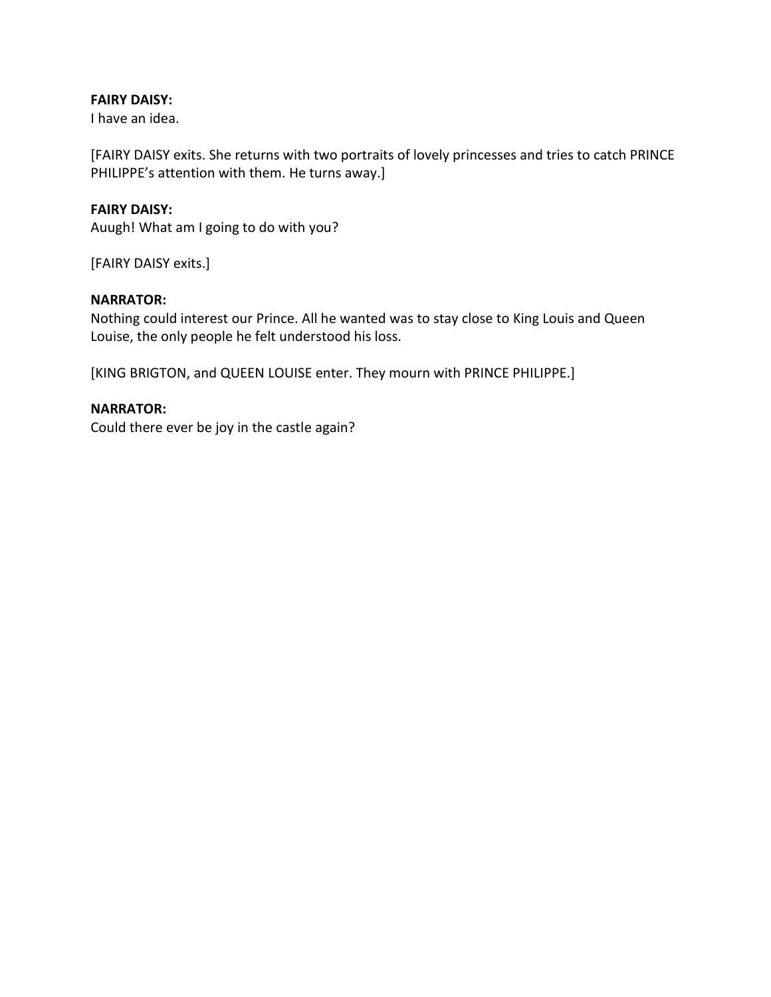## **FAIRY DAISY:**

I have an idea.

[FAIRY DAISY exits. She returns with two portraits of lovely princesses and tries to catch PRINCE PHILIPPE's attention with them. He turns away.]

### **FAIRY DAISY:**

Auugh! What am I going to do with you?

[FAIRY DAISY exits.]

## **NARRATOR:**

Nothing could interest our Prince. All he wanted was to stay close to King Louis and Queen Louise, the only people he felt understood his loss.

[KING BRIGTON, and QUEEN LOUISE enter. They mourn with PRINCE PHILIPPE.]

## **NARRATOR:**

Could there ever be joy in the castle again?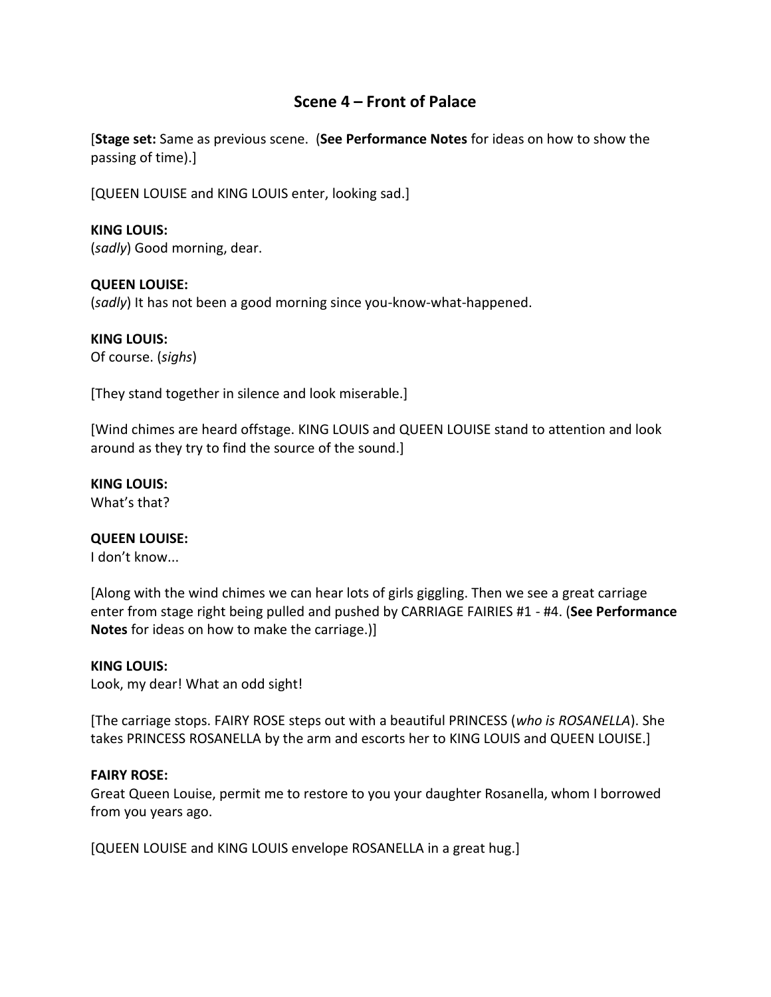## **Scene 4 – Front of Palace**

[**Stage set:** Same as previous scene. (**See Performance Notes** for ideas on how to show the passing of time).]

[QUEEN LOUISE and KING LOUIS enter, looking sad.]

## **KING LOUIS:**

(*sadly*) Good morning, dear.

## **QUEEN LOUISE:**

(*sadly*) It has not been a good morning since you-know-what-happened.

## **KING LOUIS:**

Of course. (*sighs*)

[They stand together in silence and look miserable.]

[Wind chimes are heard offstage. KING LOUIS and QUEEN LOUISE stand to attention and look around as they try to find the source of the sound.]

## **KING LOUIS:**

What's that?

## **QUEEN LOUISE:**

I don't know...

[Along with the wind chimes we can hear lots of girls giggling. Then we see a great carriage enter from stage right being pulled and pushed by CARRIAGE FAIRIES #1 - #4. (**See Performance Notes** for ideas on how to make the carriage.)]

## **KING LOUIS:**

Look, my dear! What an odd sight!

[The carriage stops. FAIRY ROSE steps out with a beautiful PRINCESS (*who is ROSANELLA*). She takes PRINCESS ROSANELLA by the arm and escorts her to KING LOUIS and QUEEN LOUISE.]

## **FAIRY ROSE:**

Great Queen Louise, permit me to restore to you your daughter Rosanella, whom I borrowed from you years ago.

[QUEEN LOUISE and KING LOUIS envelope ROSANELLA in a great hug.]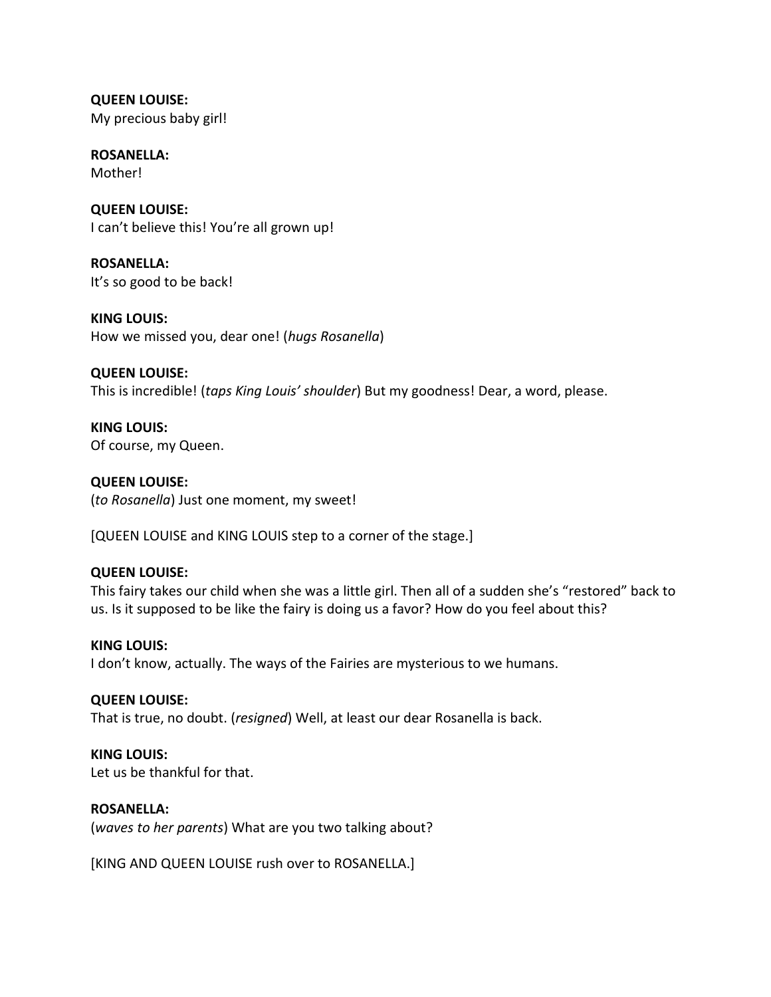**QUEEN LOUISE:** My precious baby girl!

**ROSANELLA:** Mother!

**QUEEN LOUISE:** I can't believe this! You're all grown up!

**ROSANELLA:** It's so good to be back!

**KING LOUIS:** How we missed you, dear one! (*hugs Rosanella*)

**QUEEN LOUISE:** This is incredible! (*taps King Louis' shoulder*) But my goodness! Dear, a word, please.

**KING LOUIS:** Of course, my Queen.

**QUEEN LOUISE:** (*to Rosanella*) Just one moment, my sweet!

[QUEEN LOUISE and KING LOUIS step to a corner of the stage.]

## **QUEEN LOUISE:**

This fairy takes our child when she was a little girl. Then all of a sudden she's "restored" back to us. Is it supposed to be like the fairy is doing us a favor? How do you feel about this?

**KING LOUIS:** I don't know, actually. The ways of the Fairies are mysterious to we humans.

## **QUEEN LOUISE:**

That is true, no doubt. (*resigned*) Well, at least our dear Rosanella is back.

## **KING LOUIS:**

Let us be thankful for that.

## **ROSANELLA:**

(*waves to her parents*) What are you two talking about?

[KING AND QUEEN LOUISE rush over to ROSANELLA.]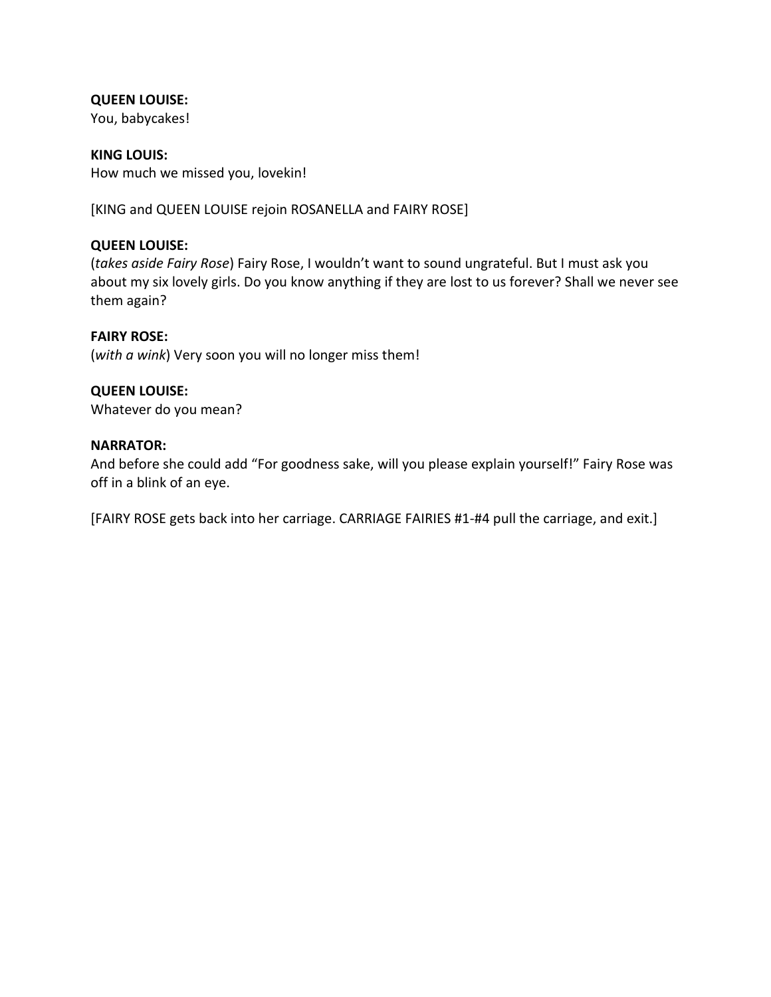## **QUEEN LOUISE:**

You, babycakes!

**KING LOUIS:** How much we missed you, lovekin!

[KING and QUEEN LOUISE rejoin ROSANELLA and FAIRY ROSE]

### **QUEEN LOUISE:**

(*takes aside Fairy Rose*) Fairy Rose, I wouldn't want to sound ungrateful. But I must ask you about my six lovely girls. Do you know anything if they are lost to us forever? Shall we never see them again?

#### **FAIRY ROSE:**

(*with a wink*) Very soon you will no longer miss them!

### **QUEEN LOUISE:**

Whatever do you mean?

#### **NARRATOR:**

And before she could add "For goodness sake, will you please explain yourself!" Fairy Rose was off in a blink of an eye.

[FAIRY ROSE gets back into her carriage. CARRIAGE FAIRIES #1-#4 pull the carriage, and exit.]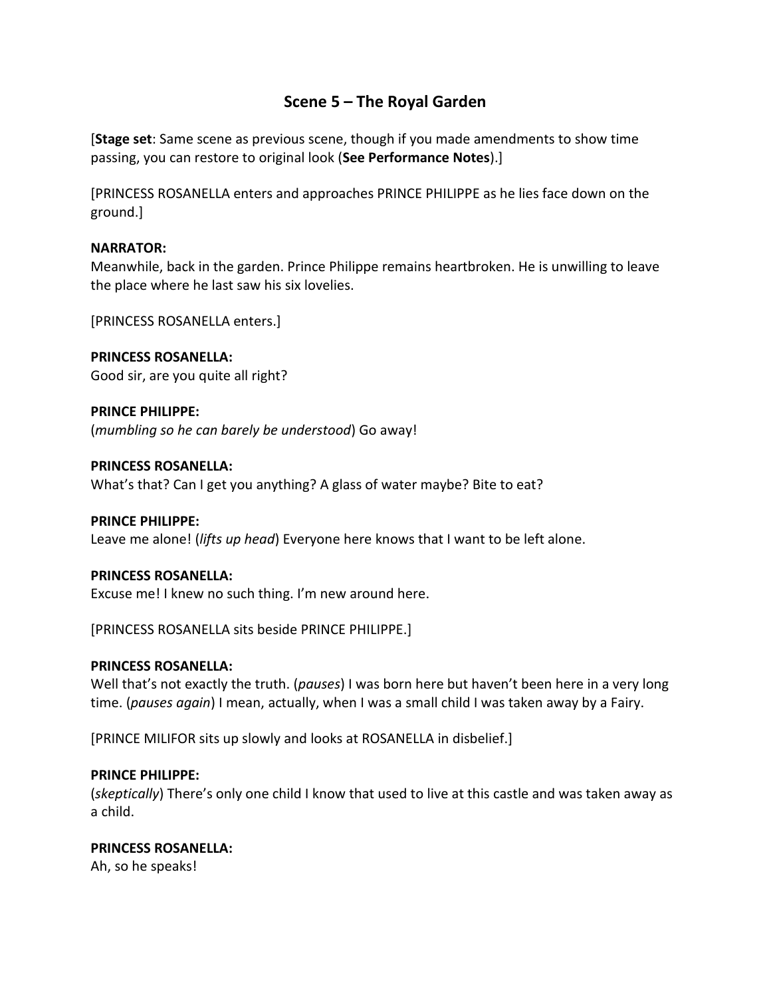## **Scene 5 – The Royal Garden**

[**Stage set**: Same scene as previous scene, though if you made amendments to show time passing, you can restore to original look (**See Performance Notes**).]

[PRINCESS ROSANELLA enters and approaches PRINCE PHILIPPE as he lies face down on the ground.]

## **NARRATOR:**

Meanwhile, back in the garden. Prince Philippe remains heartbroken. He is unwilling to leave the place where he last saw his six lovelies.

[PRINCESS ROSANELLA enters.]

**PRINCESS ROSANELLA:** Good sir, are you quite all right?

**PRINCE PHILIPPE:** (*mumbling so he can barely be understood*) Go away!

### **PRINCESS ROSANELLA:**

What's that? Can I get you anything? A glass of water maybe? Bite to eat?

### **PRINCE PHILIPPE:**

Leave me alone! (*lifts up head*) Everyone here knows that I want to be left alone.

#### **PRINCESS ROSANELLA:**

Excuse me! I knew no such thing. I'm new around here.

[PRINCESS ROSANELLA sits beside PRINCE PHILIPPE.]

#### **PRINCESS ROSANELLA:**

Well that's not exactly the truth. (*pauses*) I was born here but haven't been here in a very long time. (*pauses again*) I mean, actually, when I was a small child I was taken away by a Fairy.

[PRINCE MILIFOR sits up slowly and looks at ROSANELLA in disbelief.]

#### **PRINCE PHILIPPE:**

(*skeptically*) There's only one child I know that used to live at this castle and was taken away as a child.

## **PRINCESS ROSANELLA:**

Ah, so he speaks!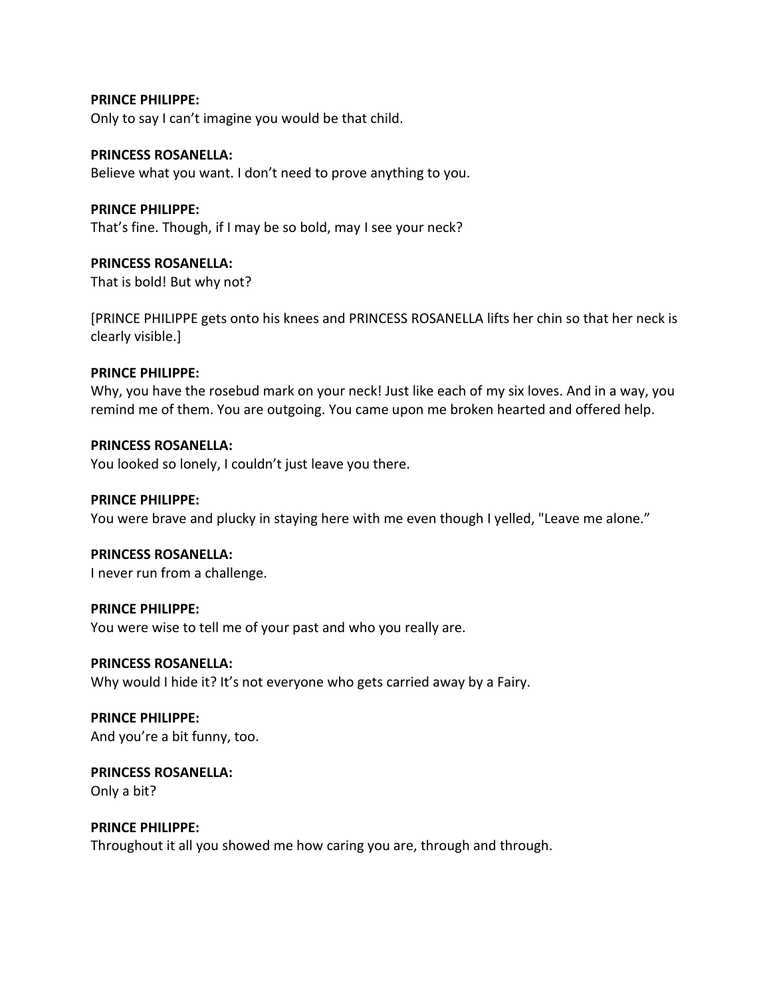#### **PRINCE PHILIPPE:**

Only to say I can't imagine you would be that child.

#### **PRINCESS ROSANELLA:**

Believe what you want. I don't need to prove anything to you.

#### **PRINCE PHILIPPE:**

That's fine. Though, if I may be so bold, may I see your neck?

### **PRINCESS ROSANELLA:**

That is bold! But why not?

[PRINCE PHILIPPE gets onto his knees and PRINCESS ROSANELLA lifts her chin so that her neck is clearly visible.]

#### **PRINCE PHILIPPE:**

Why, you have the rosebud mark on your neck! Just like each of my six loves. And in a way, you remind me of them. You are outgoing. You came upon me broken hearted and offered help.

#### **PRINCESS ROSANELLA:**

You looked so lonely, I couldn't just leave you there.

#### **PRINCE PHILIPPE:**

You were brave and plucky in staying here with me even though I yelled, "Leave me alone."

## **PRINCESS ROSANELLA:**

I never run from a challenge.

#### **PRINCE PHILIPPE:**

You were wise to tell me of your past and who you really are.

#### **PRINCESS ROSANELLA:**

Why would I hide it? It's not everyone who gets carried away by a Fairy.

**PRINCE PHILIPPE:** And you're a bit funny, too.

## **PRINCESS ROSANELLA:** Only a bit?

**PRINCE PHILIPPE:**

Throughout it all you showed me how caring you are, through and through.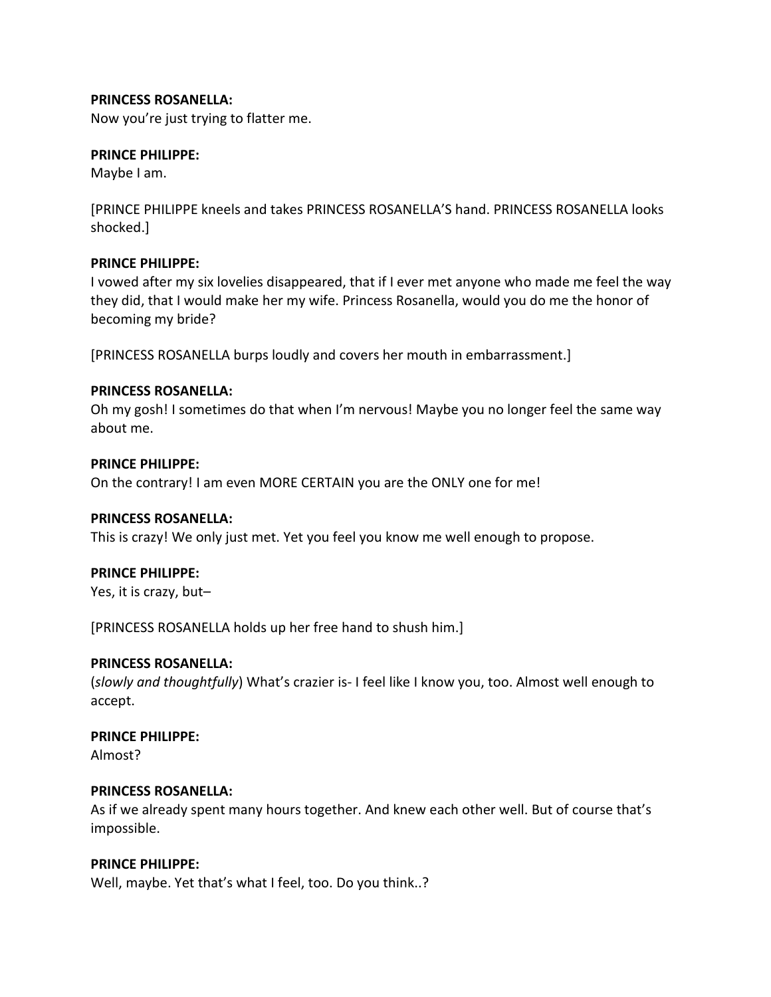## **PRINCESS ROSANELLA:**

Now you're just trying to flatter me.

### **PRINCE PHILIPPE:**

Maybe I am.

[PRINCE PHILIPPE kneels and takes PRINCESS ROSANELLA'S hand. PRINCESS ROSANELLA looks shocked.]

### **PRINCE PHILIPPE:**

I vowed after my six lovelies disappeared, that if I ever met anyone who made me feel the way they did, that I would make her my wife. Princess Rosanella, would you do me the honor of becoming my bride?

[PRINCESS ROSANELLA burps loudly and covers her mouth in embarrassment.]

### **PRINCESS ROSANELLA:**

Oh my gosh! I sometimes do that when I'm nervous! Maybe you no longer feel the same way about me.

#### **PRINCE PHILIPPE:**

On the contrary! I am even MORE CERTAIN you are the ONLY one for me!

#### **PRINCESS ROSANELLA:**

This is crazy! We only just met. Yet you feel you know me well enough to propose.

#### **PRINCE PHILIPPE:**

Yes, it is crazy, but–

[PRINCESS ROSANELLA holds up her free hand to shush him.]

#### **PRINCESS ROSANELLA:**

(*slowly and thoughtfully*) What's crazier is- I feel like I know you, too. Almost well enough to accept.

### **PRINCE PHILIPPE:**

Almost?

#### **PRINCESS ROSANELLA:**

As if we already spent many hours together. And knew each other well. But of course that's impossible.

#### **PRINCE PHILIPPE:**

Well, maybe. Yet that's what I feel, too. Do you think..?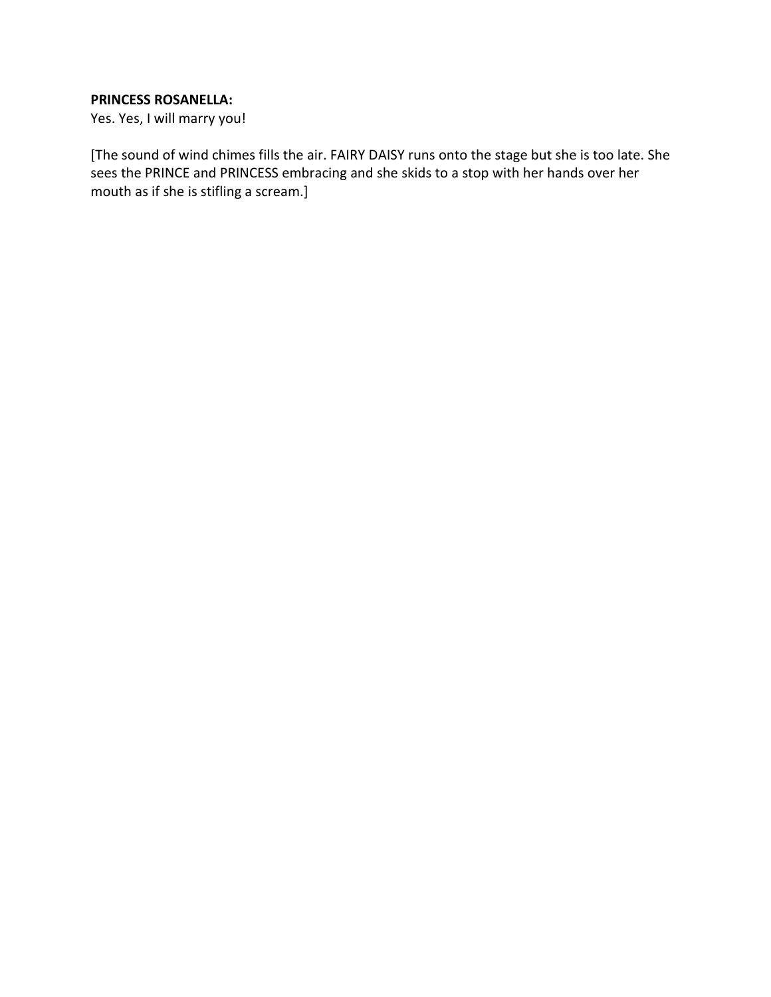## **PRINCESS ROSANELLA:**

Yes. Yes, I will marry you!

[The sound of wind chimes fills the air. FAIRY DAISY runs onto the stage but she is too late. She sees the PRINCE and PRINCESS embracing and she skids to a stop with her hands over her mouth as if she is stifling a scream.]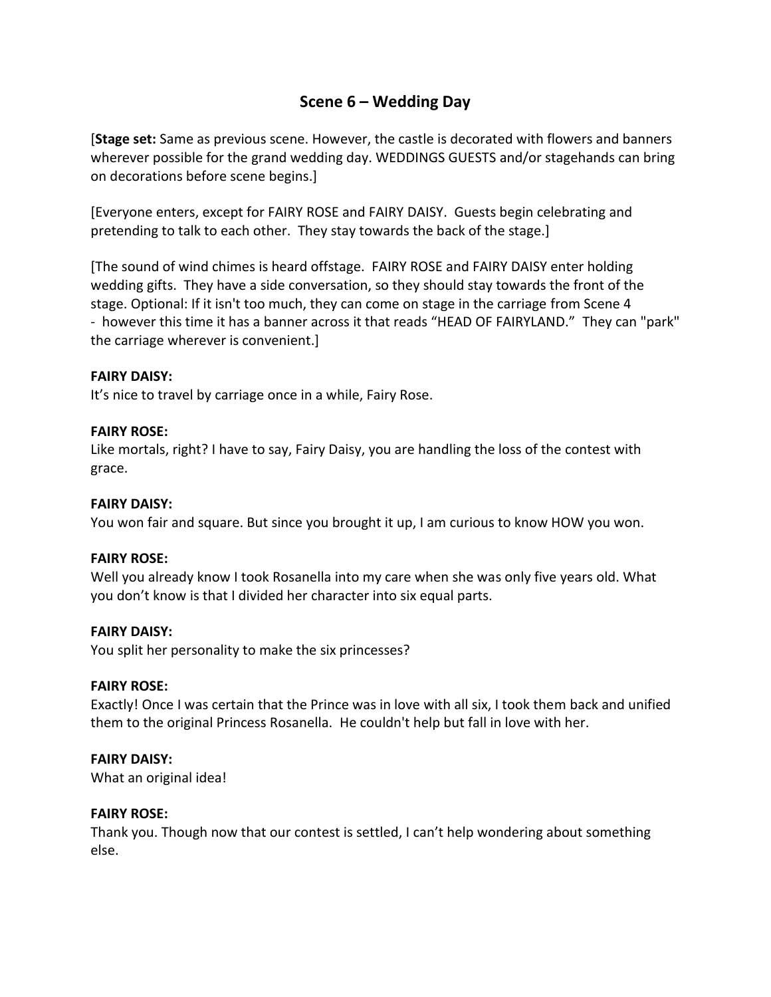## **Scene 6 – Wedding Day**

[**Stage set:** Same as previous scene. However, the castle is decorated with flowers and banners wherever possible for the grand wedding day. WEDDINGS GUESTS and/or stagehands can bring on decorations before scene begins.]

[Everyone enters, except for FAIRY ROSE and FAIRY DAISY. Guests begin celebrating and pretending to talk to each other. They stay towards the back of the stage.]

[The sound of wind chimes is heard offstage. FAIRY ROSE and FAIRY DAISY enter holding wedding gifts. They have a side conversation, so they should stay towards the front of the stage. Optional: If it isn't too much, they can come on stage in the carriage from Scene 4 - however this time it has a banner across it that reads "HEAD OF FAIRYLAND." They can "park" the carriage wherever is convenient.]

## **FAIRY DAISY:**

It's nice to travel by carriage once in a while, Fairy Rose.

#### **FAIRY ROSE:**

Like mortals, right? I have to say, Fairy Daisy, you are handling the loss of the contest with grace.

#### **FAIRY DAISY:**

You won fair and square. But since you brought it up, I am curious to know HOW you won.

#### **FAIRY ROSE:**

Well you already know I took Rosanella into my care when she was only five years old. What you don't know is that I divided her character into six equal parts.

#### **FAIRY DAISY:**

You split her personality to make the six princesses?

#### **FAIRY ROSE:**

Exactly! Once I was certain that the Prince was in love with all six, I took them back and unified them to the original Princess Rosanella. He couldn't help but fall in love with her.

## **FAIRY DAISY:**

What an original idea!

#### **FAIRY ROSE:**

Thank you. Though now that our contest is settled, I can't help wondering about something else.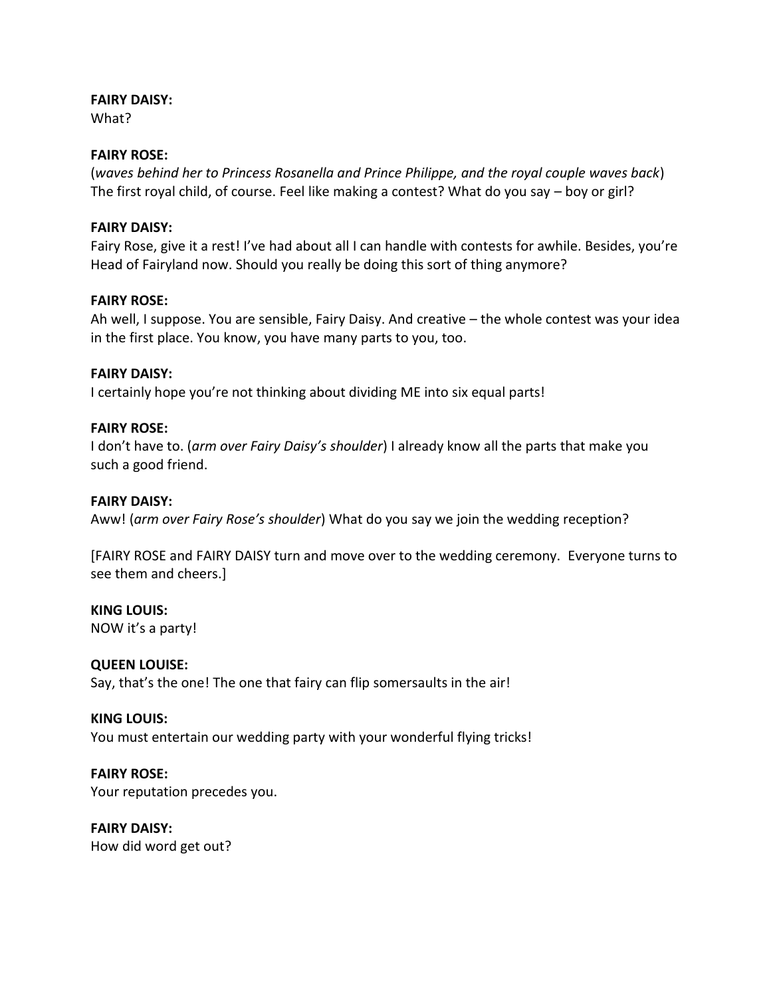## **FAIRY DAISY:**

What?

## **FAIRY ROSE:**

(*waves behind her to Princess Rosanella and Prince Philippe, and the royal couple waves back*) The first royal child, of course. Feel like making a contest? What do you say – boy or girl?

### **FAIRY DAISY:**

Fairy Rose, give it a rest! I've had about all I can handle with contests for awhile. Besides, you're Head of Fairyland now. Should you really be doing this sort of thing anymore?

### **FAIRY ROSE:**

Ah well, I suppose. You are sensible, Fairy Daisy. And creative – the whole contest was your idea in the first place. You know, you have many parts to you, too.

### **FAIRY DAISY:**

I certainly hope you're not thinking about dividing ME into six equal parts!

### **FAIRY ROSE:**

I don't have to. (*arm over Fairy Daisy's shoulder*) I already know all the parts that make you such a good friend.

## **FAIRY DAISY:**

Aww! (*arm over Fairy Rose's shoulder*) What do you say we join the wedding reception?

[FAIRY ROSE and FAIRY DAISY turn and move over to the wedding ceremony. Everyone turns to see them and cheers.]

**KING LOUIS:** NOW it's a party!

## **QUEEN LOUISE:**

Say, that's the one! The one that fairy can flip somersaults in the air!

#### **KING LOUIS:**

You must entertain our wedding party with your wonderful flying tricks!

## **FAIRY ROSE:**

Your reputation precedes you.

**FAIRY DAISY:** How did word get out?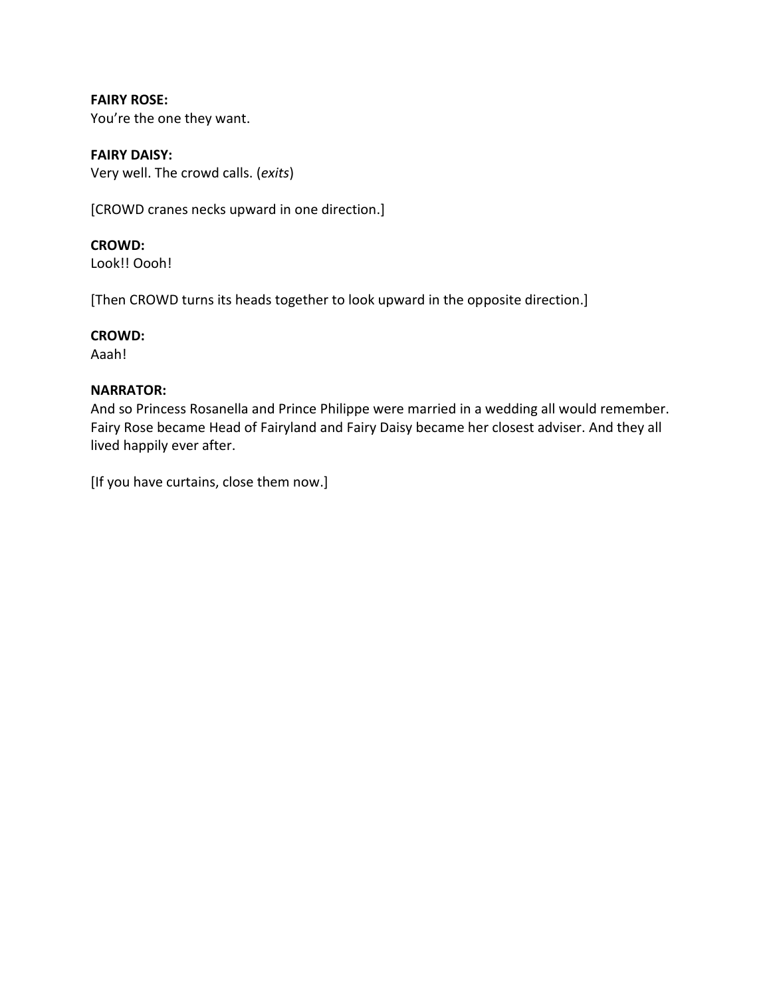**FAIRY ROSE:** You're the one they want.

**FAIRY DAISY:** Very well. The crowd calls. (*exits*)

[CROWD cranes necks upward in one direction.]

**CROWD:**

Look!! Oooh!

[Then CROWD turns its heads together to look upward in the opposite direction.]

## **CROWD:**

Aaah!

## **NARRATOR:**

And so Princess Rosanella and Prince Philippe were married in a wedding all would remember. Fairy Rose became Head of Fairyland and Fairy Daisy became her closest adviser. And they all lived happily ever after.

[If you have curtains, close them now.]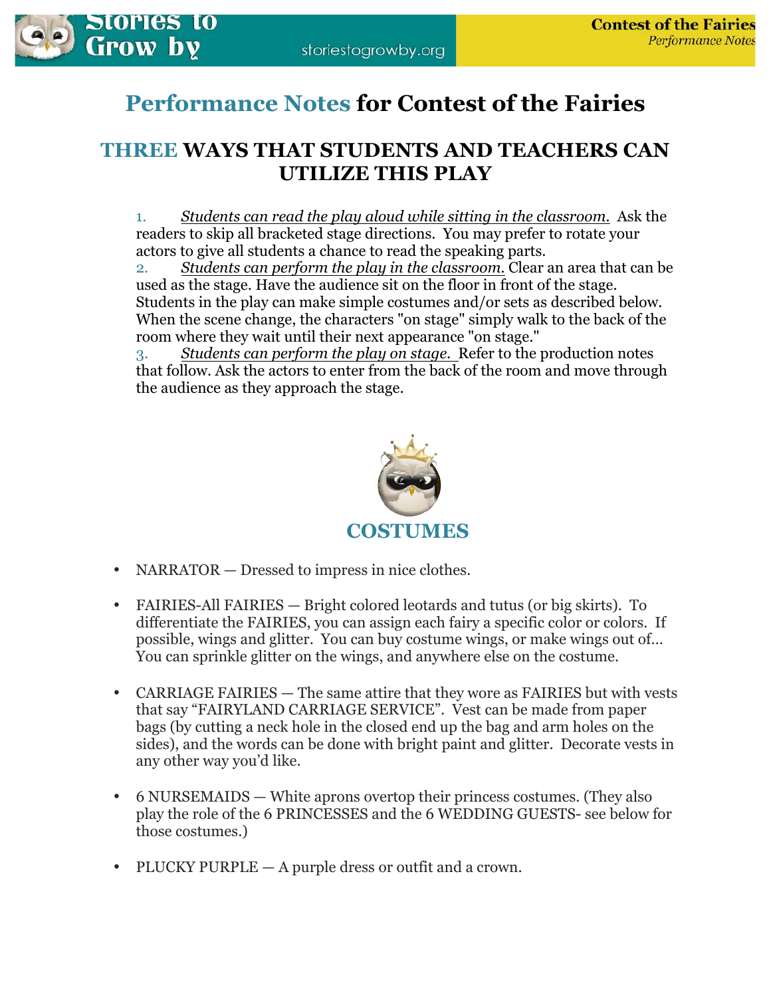

# **Performance Notes for Contest of the Fairies**

# **THREE WAYS THAT STUDENTS AND TEACHERS CAN UTILIZE THIS PLAY**

1. *Students can read the play aloud while sitting in the classroom.* Ask the readers to skip all bracketed stage directions. You may prefer to rotate your actors to give all students a chance to read the speaking parts.

2. *Students can perform the play in the classroom.* Clear an area that can be used as the stage. Have the audience sit on the floor in front of the stage. Students in the play can make simple costumes and/or sets as described below. When the scene change, the characters "on stage" simply walk to the back of the room where they wait until their next appearance "on stage."

3. *Students can perform the play on stage.* Refer to the production notes that follow. Ask the actors to enter from the back of the room and move through the audience as they approach the stage.



- NARRATOR Dressed to impress in nice clothes.
- FAIRIES-All FAIRIES Bright colored leotards and tutus (or big skirts). To differentiate the FAIRIES, you can assign each fairy a specific color or colors. If possible, wings and glitter. You can buy costume wings, or make wings out of… You can sprinkle glitter on the wings, and anywhere else on the costume.
- CARRIAGE FAIRIES The same attire that they wore as FAIRIES but with vests that say "FAIRYLAND CARRIAGE SERVICE". Vest can be made from paper bags (by cutting a neck hole in the closed end up the bag and arm holes on the sides), and the words can be done with bright paint and glitter. Decorate vests in any other way you'd like.
- 6 NURSEMAIDS White aprons overtop their princess costumes. (They also play the role of the 6 PRINCESSES and the 6 WEDDING GUESTS- see below for those costumes.)
- PLUCKY PURPLE A purple dress or outfit and a crown.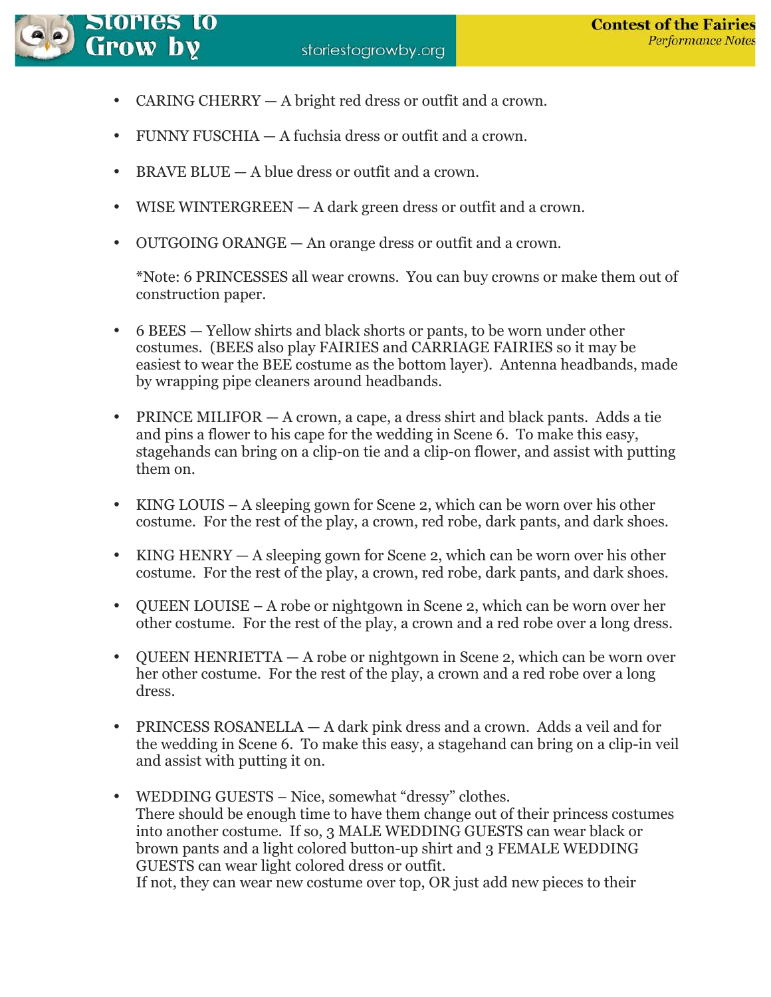

Stories to

- CARING CHERRY A bright red dress or outfit and a crown.
- FUNNY FUSCHIA A fuchsia dress or outfit and a crown.
- BRAVE BLUE A blue dress or outfit and a crown.
- WISE WINTERGREEN A dark green dress or outfit and a crown.
- OUTGOING ORANGE An orange dress or outfit and a crown.

\*Note: 6 PRINCESSES all wear crowns. You can buy crowns or make them out of construction paper.

- 6 BEES Yellow shirts and black shorts or pants, to be worn under other costumes. (BEES also play FAIRIES and CARRIAGE FAIRIES so it may be easiest to wear the BEE costume as the bottom layer). Antenna headbands, made by wrapping pipe cleaners around headbands.
- PRINCE MILIFOR A crown, a cape, a dress shirt and black pants. Adds a tie and pins a flower to his cape for the wedding in Scene 6. To make this easy, stagehands can bring on a clip-on tie and a clip-on flower, and assist with putting them on.
- KING LOUIS A sleeping gown for Scene 2, which can be worn over his other costume. For the rest of the play, a crown, red robe, dark pants, and dark shoes.
- KING HENRY A sleeping gown for Scene 2, which can be worn over his other costume. For the rest of the play, a crown, red robe, dark pants, and dark shoes.
- QUEEN LOUISE A robe or nightgown in Scene 2, which can be worn over her other costume. For the rest of the play, a crown and a red robe over a long dress.
- QUEEN HENRIETTA A robe or nightgown in Scene 2, which can be worn over her other costume. For the rest of the play, a crown and a red robe over a long dress.
- PRINCESS ROSANELLA A dark pink dress and a crown. Adds a veil and for the wedding in Scene 6. To make this easy, a stagehand can bring on a clip-in veil and assist with putting it on.
- WEDDING GUESTS Nice, somewhat "dressy" clothes. There should be enough time to have them change out of their princess costumes into another costume. If so, 3 MALE WEDDING GUESTS can wear black or brown pants and a light colored button-up shirt and 3 FEMALE WEDDING GUESTS can wear light colored dress or outfit. If not, they can wear new costume over top, OR just add new pieces to their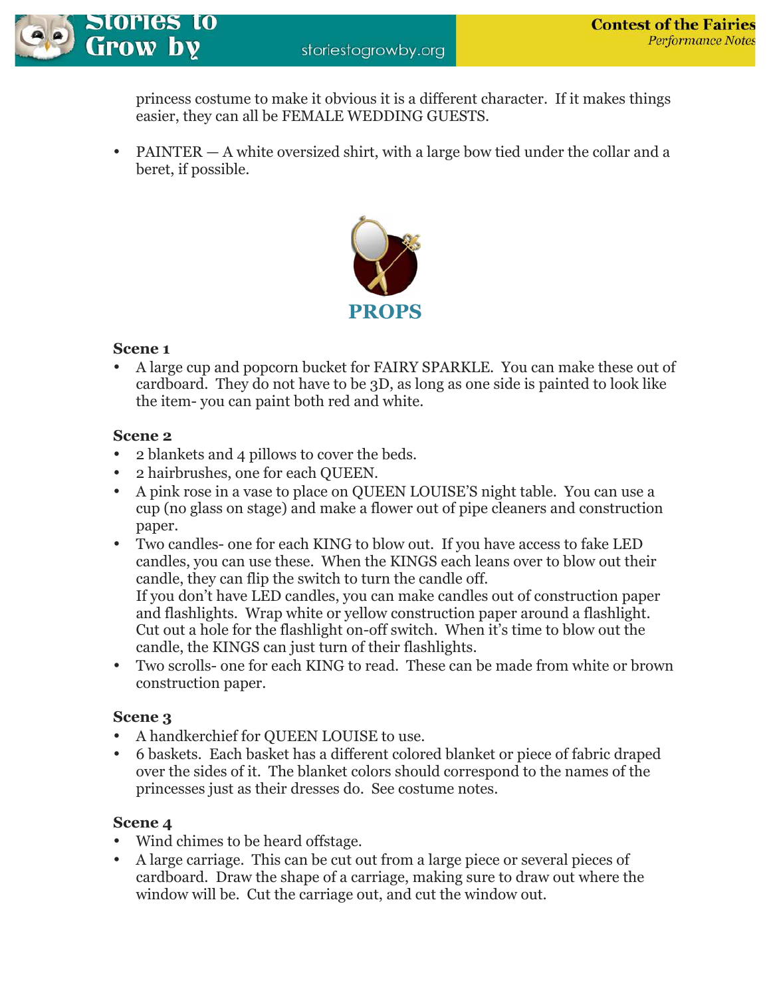princess costume to make it obvious it is a different character. If it makes things easier, they can all be FEMALE WEDDING GUESTS.

• PAINTER — A white oversized shirt, with a large bow tied under the collar and a beret, if possible.



## **Scene 1**

Stories to

**Grow by** 

• A large cup and popcorn bucket for FAIRY SPARKLE. You can make these out of cardboard. They do not have to be 3D, as long as one side is painted to look like the item- you can paint both red and white.

## **Scene 2**

- 2 blankets and 4 pillows to cover the beds.
- 2 hairbrushes, one for each QUEEN.
- A pink rose in a vase to place on QUEEN LOUISE'S night table. You can use a cup (no glass on stage) and make a flower out of pipe cleaners and construction paper.
- Two candles- one for each KING to blow out. If you have access to fake LED candles, you can use these. When the KINGS each leans over to blow out their candle, they can flip the switch to turn the candle off. If you don't have LED candles, you can make candles out of construction paper and flashlights. Wrap white or yellow construction paper around a flashlight. Cut out a hole for the flashlight on-off switch. When it's time to blow out the candle, the KINGS can just turn of their flashlights.
- Two scrolls- one for each KING to read. These can be made from white or brown construction paper.

## **Scene 3**

- A handkerchief for QUEEN LOUISE to use.
- 6 baskets. Each basket has a different colored blanket or piece of fabric draped over the sides of it. The blanket colors should correspond to the names of the princesses just as their dresses do. See costume notes.

## **Scene 4**

- Wind chimes to be heard offstage.
- A large carriage. This can be cut out from a large piece or several pieces of cardboard. Draw the shape of a carriage, making sure to draw out where the window will be. Cut the carriage out, and cut the window out.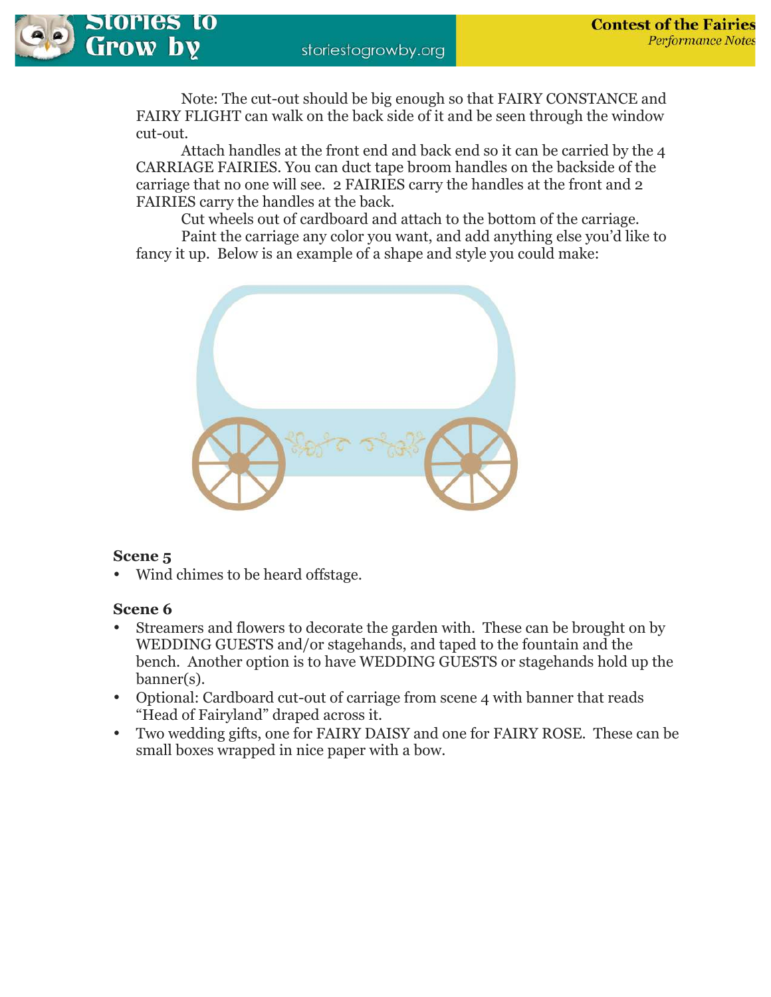

Note: The cut-out should be big enough so that FAIRY CONSTANCE and FAIRY FLIGHT can walk on the back side of it and be seen through the window cut-out.

 Attach handles at the front end and back end so it can be carried by the 4 CARRIAGE FAIRIES. You can duct tape broom handles on the backside of the carriage that no one will see. 2 FAIRIES carry the handles at the front and 2 FAIRIES carry the handles at the back.

 Cut wheels out of cardboard and attach to the bottom of the carriage. Paint the carriage any color you want, and add anything else you'd like to fancy it up. Below is an example of a shape and style you could make:



## **Scene 5**

• Wind chimes to be heard offstage.

## **Scene 6**

- Streamers and flowers to decorate the garden with. These can be brought on by WEDDING GUESTS and/or stagehands, and taped to the fountain and the bench. Another option is to have WEDDING GUESTS or stagehands hold up the banner(s).
- Optional: Cardboard cut-out of carriage from scene 4 with banner that reads "Head of Fairyland" draped across it.
- Two wedding gifts, one for FAIRY DAISY and one for FAIRY ROSE. These can be small boxes wrapped in nice paper with a bow.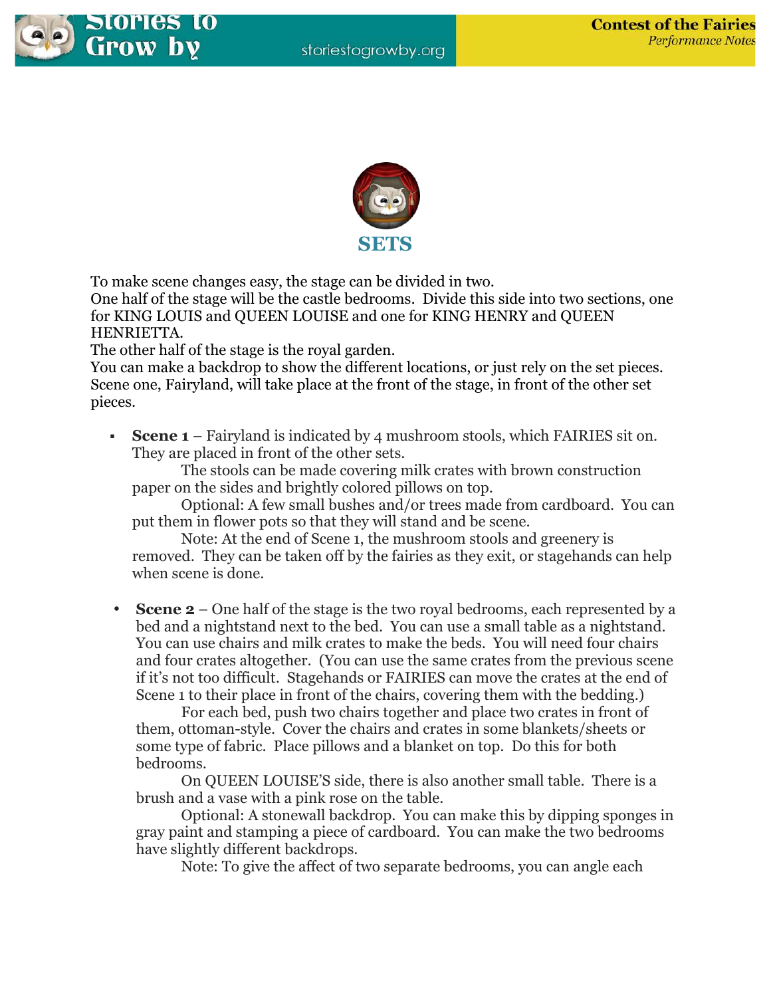



To make scene changes easy, the stage can be divided in two.

One half of the stage will be the castle bedrooms. Divide this side into two sections, one for KING LOUIS and QUEEN LOUISE and one for KING HENRY and QUEEN HENRIETTA.

The other half of the stage is the royal garden.

You can make a backdrop to show the different locations, or just rely on the set pieces. Scene one, Fairyland, will take place at the front of the stage, in front of the other set pieces.

 **Scene 1** – Fairyland is indicated by 4 mushroom stools, which FAIRIES sit on. They are placed in front of the other sets.

 The stools can be made covering milk crates with brown construction paper on the sides and brightly colored pillows on top.

 Optional: A few small bushes and/or trees made from cardboard. You can put them in flower pots so that they will stand and be scene.

 Note: At the end of Scene 1, the mushroom stools and greenery is removed. They can be taken off by the fairies as they exit, or stagehands can help when scene is done.

• **Scene 2** – One half of the stage is the two royal bedrooms, each represented by a bed and a nightstand next to the bed. You can use a small table as a nightstand. You can use chairs and milk crates to make the beds. You will need four chairs and four crates altogether. (You can use the same crates from the previous scene if it's not too difficult. Stagehands or FAIRIES can move the crates at the end of Scene 1 to their place in front of the chairs, covering them with the bedding.)

 For each bed, push two chairs together and place two crates in front of them, ottoman-style. Cover the chairs and crates in some blankets/sheets or some type of fabric. Place pillows and a blanket on top. Do this for both bedrooms.

 On QUEEN LOUISE'S side, there is also another small table. There is a brush and a vase with a pink rose on the table.

 Optional: A stonewall backdrop. You can make this by dipping sponges in gray paint and stamping a piece of cardboard. You can make the two bedrooms have slightly different backdrops.

Note: To give the affect of two separate bedrooms, you can angle each